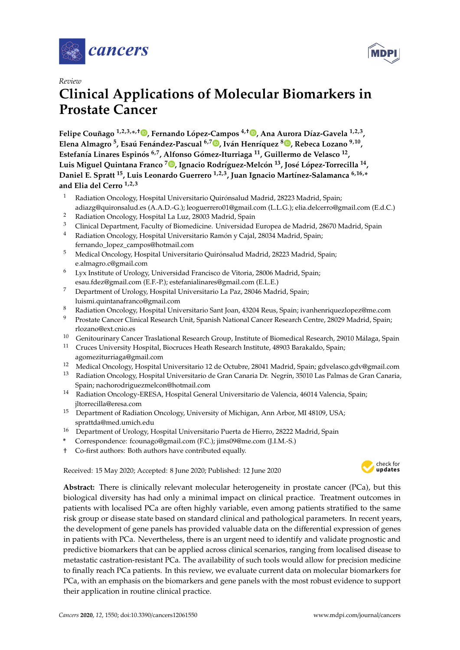



# *Review*

# **Clinical Applications of Molecular Biomarkers in Prostate Cancer**

**Felipe Couñago 1,2,3,\* ,**† **[,](https://orcid.org/0000-0001-7233-0234) Fernando López-Campos 4,**† **[,](https://orcid.org/0000-0002-4077-0507) Ana Aurora Díaz-Gavela 1,2,3 , Elena Almagro <sup>5</sup> , Esaú Fenández-Pascual 6,7 [,](https://orcid.org/0000-0002-2602-2617) Iván Henríquez <sup>8</sup> [,](https://orcid.org/0000-0003-2771-4049) Rebeca Lozano 9,10 , Estefanía Linares Espinós 6,7, Alfonso Gómez-Iturriaga <sup>11</sup>, Guillermo de Velasco <sup>12</sup> , Luis Miguel Quintana Franco <sup>7</sup> [,](https://orcid.org/0000-0002-4163-2560) Ignacio Rodríguez-Melcón <sup>13</sup>, José López-Torrecilla <sup>14</sup> , Daniel E. Spratt <sup>15</sup>, Luis Leonardo Guerrero 1,2,3, Juan Ignacio Martínez-Salamanca 6,16,\* and Elia del Cerro 1,2,3**

- <sup>1</sup> Radiation Oncology, Hospital Universitario Quirónsalud Madrid, 28223 Madrid, Spain; adiazg@quironsalud.es (A.A.D.-G.); leoguerrero01@gmail.com (L.L.G.); elia.delcerro@gmail.com (E.d.C.)
- <sup>2</sup> Radiation Oncology, Hospital La Luz, 28003 Madrid, Spain
- <sup>3</sup> Clinical Department, Faculty of Biomedicine. Universidad Europea de Madrid, 28670 Madrid, Spain<br><sup>4</sup> Padiation Opealogy Hespital Universitario Pamén y Cajal 28034 Madrid, Spain:
- <sup>4</sup> Radiation Oncology, Hospital Universitario Ramón y Cajal, 28034 Madrid, Spain; fernando\_lopez\_campos@hotmail.com
- <sup>5</sup> Medical Oncology, Hospital Universitario Quirónsalud Madrid, 28223 Madrid, Spain; e.almagro.c@gmail.com
- <sup>6</sup> Lyx Institute of Urology, Universidad Francisco de Vitoria, 28006 Madrid, Spain; esau.fdez@gmail.com (E.F.-P.); estefanialinares@gmail.com (E.L.E.)
- <sup>7</sup> Department of Urology, Hospital Universitario La Paz, 28046 Madrid, Spain; luismi.quintanafranco@gmail.com
- <sup>8</sup> Radiation Oncology, Hospital Universitario Sant Joan, 43204 Reus, Spain; ivanhenriquezlopez@me.com
- <sup>9</sup> Prostate Cancer Clinical Research Unit, Spanish National Cancer Research Centre, 28029 Madrid, Spain; rlozano@ext.cnio.es
- <sup>10</sup> Genitourinary Cancer Traslational Research Group, Institute of Biomedical Research, 29010 Málaga, Spain<br><sup>11</sup> Gruces University Hespital Biograese Heath Research Institute 48003 Barakelde, Spain
- <sup>11</sup> Cruces University Hospital, Biocruces Heath Research Institute, 48903 Barakaldo, Spain; agomeziturriaga@gmail.com
- <sup>12</sup> Medical Oncology, Hospital Universitario 12 de Octubre, 28041 Madrid, Spain; gdvelasco.gdv@gmail.com
- <sup>13</sup> Radiation Oncology, Hospital Universitario de Gran Canaria Dr. Negrín, 35010 Las Palmas de Gran Canaria, Spain; nachorodriguezmelcon@hotmail.com
- <sup>14</sup> Radiation Oncology-ERESA, Hospital General Universitario de Valencia, 46014 Valencia, Spain; jltorrecilla@eresa.com
- <sup>15</sup> Department of Radiation Oncology, University of Michigan, Ann Arbor, MI 48109, USA; sprattda@med.umich.edu
- <sup>16</sup> Department of Urology, Hospital Universitario Puerta de Hierro, 28222 Madrid, Spain
- **\*** Correspondence: fcounago@gmail.com (F.C.); jims09@me.com (J.I.M.-S.)
- † Co-first authors: Both authors have contributed equally.

Received: 15 May 2020; Accepted: 8 June 2020; Published: 12 June 2020 -



**Abstract:** There is clinically relevant molecular heterogeneity in prostate cancer (PCa), but this biological diversity has had only a minimal impact on clinical practice. Treatment outcomes in patients with localised PCa are often highly variable, even among patients stratified to the same risk group or disease state based on standard clinical and pathological parameters. In recent years, the development of gene panels has provided valuable data on the differential expression of genes in patients with PCa. Nevertheless, there is an urgent need to identify and validate prognostic and predictive biomarkers that can be applied across clinical scenarios, ranging from localised disease to metastatic castration-resistant PCa. The availability of such tools would allow for precision medicine to finally reach PCa patients. In this review, we evaluate current data on molecular biomarkers for PCa, with an emphasis on the biomarkers and gene panels with the most robust evidence to support their application in routine clinical practice.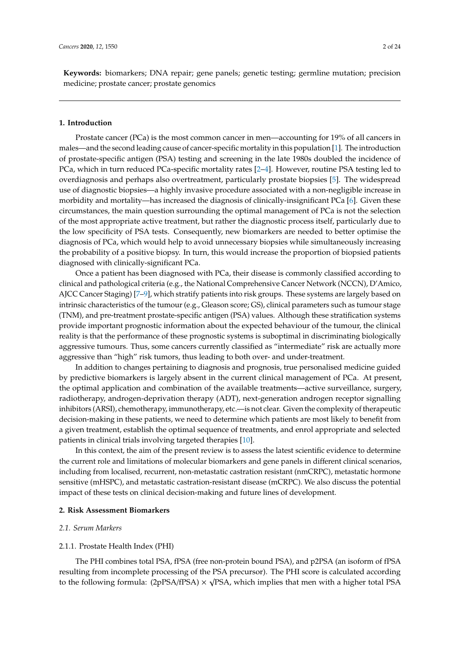**Keywords:** biomarkers; DNA repair; gene panels; genetic testing; germline mutation; precision medicine; prostate cancer; prostate genomics

# **1. Introduction**

Prostate cancer (PCa) is the most common cancer in men—accounting for 19% of all cancers in males—and the second leading cause of cancer-specific mortality in this population [\[1\]](#page-15-0). The introduction of prostate-specific antigen (PSA) testing and screening in the late 1980s doubled the incidence of PCa, which in turn reduced PCa-specific mortality rates [\[2](#page-15-1)[–4\]](#page-15-2). However, routine PSA testing led to overdiagnosis and perhaps also overtreatment, particularly prostate biopsies [\[5\]](#page-15-3). The widespread use of diagnostic biopsies—a highly invasive procedure associated with a non-negligible increase in morbidity and mortality—has increased the diagnosis of clinically-insignificant PCa [\[6\]](#page-15-4). Given these circumstances, the main question surrounding the optimal management of PCa is not the selection of the most appropriate active treatment, but rather the diagnostic process itself, particularly due to the low specificity of PSA tests. Consequently, new biomarkers are needed to better optimise the diagnosis of PCa, which would help to avoid unnecessary biopsies while simultaneously increasing the probability of a positive biopsy. In turn, this would increase the proportion of biopsied patients diagnosed with clinically-significant PCa.

Once a patient has been diagnosed with PCa, their disease is commonly classified according to clinical and pathological criteria (e.g., the National Comprehensive Cancer Network (NCCN), D'Amico, AJCC Cancer Staging) [\[7](#page-15-5)[–9\]](#page-15-6), which stratify patients into risk groups. These systems are largely based on intrinsic characteristics of the tumour (e.g., Gleason score; GS), clinical parameters such as tumour stage (TNM), and pre-treatment prostate-specific antigen (PSA) values. Although these stratification systems provide important prognostic information about the expected behaviour of the tumour, the clinical reality is that the performance of these prognostic systems is suboptimal in discriminating biologically aggressive tumours. Thus, some cancers currently classified as "intermediate" risk are actually more aggressive than "high" risk tumors, thus leading to both over- and under-treatment.

In addition to changes pertaining to diagnosis and prognosis, true personalised medicine guided by predictive biomarkers is largely absent in the current clinical management of PCa. At present, the optimal application and combination of the available treatments—active surveillance, surgery, radiotherapy, androgen-deprivation therapy (ADT), next-generation androgen receptor signalling inhibitors (ARSI), chemotherapy, immunotherapy, etc.—is not clear. Given the complexity of therapeutic decision-making in these patients, we need to determine which patients are most likely to benefit from a given treatment, establish the optimal sequence of treatments, and enrol appropriate and selected patients in clinical trials involving targeted therapies [\[10\]](#page-15-7).

In this context, the aim of the present review is to assess the latest scientific evidence to determine the current role and limitations of molecular biomarkers and gene panels in different clinical scenarios, including from localised, recurrent, non-metastatic castration resistant (nmCRPC), metastatic hormone sensitive (mHSPC), and metastatic castration-resistant disease (mCRPC). We also discuss the potential impact of these tests on clinical decision-making and future lines of development.

## **2. Risk Assessment Biomarkers**

# *2.1. Serum Markers*

## 2.1.1. Prostate Health Index (PHI)

The PHI combines total PSA, fPSA (free non-protein bound PSA), and p2PSA (an isoform of fPSA resulting from incomplete processing of the PSA precursor). The PHI score is calculated according √ to the following formula:  $(2pPSA/fPSA) \times \sqrt{PSA}$ , which implies that men with a higher total PSA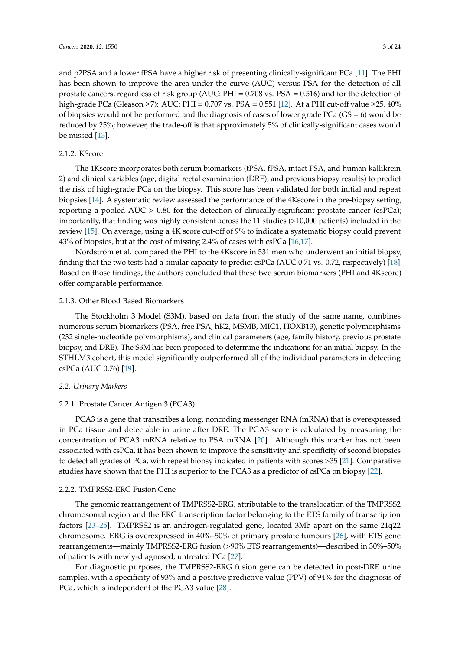and p2PSA and a lower fPSA have a higher risk of presenting clinically-significant PCa [\[11\]](#page-15-8). The PHI has been shown to improve the area under the curve (AUC) versus PSA for the detection of all prostate cancers, regardless of risk group (AUC: PHI = 0.708 vs. PSA = 0.516) and for the detection of high-grade PCa (Gleason ≥7): AUC: PHI = 0.707 vs. PSA = 0.551 [\[12\]](#page-15-9). At a PHI cut-off value ≥25, 40% of biopsies would not be performed and the diagnosis of cases of lower grade PCa ( $GS = 6$ ) would be reduced by 25%; however, the trade-off is that approximately 5% of clinically-significant cases would be missed [\[13\]](#page-15-10).

# 2.1.2. KScore

The 4Kscore incorporates both serum biomarkers (tPSA, fPSA, intact PSA, and human kallikrein 2) and clinical variables (age, digital rectal examination (DRE), and previous biopsy results) to predict the risk of high-grade PCa on the biopsy. This score has been validated for both initial and repeat biopsies [\[14\]](#page-15-11). A systematic review assessed the performance of the 4Kscore in the pre-biopsy setting, reporting a pooled AUC > 0.80 for the detection of clinically-significant prostate cancer (csPCa); importantly, that finding was highly consistent across the 11 studies (>10,000 patients) included in the review [\[15\]](#page-15-12). On average, using a 4K score cut-off of 9% to indicate a systematic biopsy could prevent 43% of biopsies, but at the cost of missing 2.4% of cases with csPCa [\[16,](#page-15-13)[17\]](#page-15-14).

Nordström et al. compared the PHI to the 4Kscore in 531 men who underwent an initial biopsy, finding that the two tests had a similar capacity to predict csPCa (AUC 0.71 vs. 0.72, respectively) [\[18\]](#page-15-15). Based on those findings, the authors concluded that these two serum biomarkers (PHI and 4Kscore) offer comparable performance.

# 2.1.3. Other Blood Based Biomarkers

The Stockholm 3 Model (S3M), based on data from the study of the same name, combines numerous serum biomarkers (PSA, free PSA, hK2, MSMB, MIC1, HOXB13), genetic polymorphisms (232 single-nucleotide polymorphisms), and clinical parameters (age, family history, previous prostate biopsy, and DRE). The S3M has been proposed to determine the indications for an initial biopsy. In the STHLM3 cohort, this model significantly outperformed all of the individual parameters in detecting csPCa (AUC 0.76) [\[19\]](#page-16-0).

# *2.2. Urinary Markers*

# 2.2.1. Prostate Cancer Antigen 3 (PCA3)

PCA3 is a gene that transcribes a long, noncoding messenger RNA (mRNA) that is overexpressed in PCa tissue and detectable in urine after DRE. The PCA3 score is calculated by measuring the concentration of PCA3 mRNA relative to PSA mRNA [\[20\]](#page-16-1). Although this marker has not been associated with csPCa, it has been shown to improve the sensitivity and specificity of second biopsies to detect all grades of PCa, with repeat biopsy indicated in patients with scores >35 [\[21\]](#page-16-2). Comparative studies have shown that the PHI is superior to the PCA3 as a predictor of csPCa on biopsy [\[22\]](#page-16-3).

#### 2.2.2. TMPRSS2-ERG Fusion Gene

The genomic rearrangement of TMPRSS2-ERG, attributable to the translocation of the TMPRSS2 chromosomal region and the ERG transcription factor belonging to the ETS family of transcription factors [\[23–](#page-16-4)[25\]](#page-16-5). TMPRSS2 is an androgen-regulated gene, located 3Mb apart on the same 21q22 chromosome. ERG is overexpressed in 40%–50% of primary prostate tumours [\[26\]](#page-16-6), with ETS gene rearrangements—mainly TMPRSS2-ERG fusion (>90% ETS rearrangements)—described in 30%–50% of patients with newly-diagnosed, untreated PCa [\[27\]](#page-16-7).

For diagnostic purposes, the TMPRSS2-ERG fusion gene can be detected in post-DRE urine samples, with a specificity of 93% and a positive predictive value (PPV) of 94% for the diagnosis of PCa, which is independent of the PCA3 value [\[28\]](#page-16-8).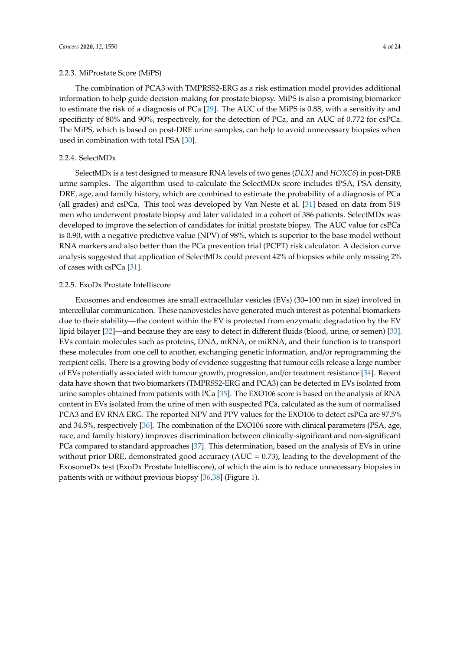# 2.2.3. MiProstate Score (MiPS)

The combination of PCA3 with TMPRSS2-ERG as a risk estimation model provides additional information to help guide decision-making for prostate biopsy. MiPS is also a promising biomarker to estimate the risk of a diagnosis of PCa [\[29\]](#page-16-9). The AUC of the MiPS is 0.88, with a sensitivity and specificity of 80% and 90%, respectively, for the detection of PCa, and an AUC of 0.772 for csPCa. The MiPS, which is based on post-DRE urine samples, can help to avoid unnecessary biopsies when used in combination with total PSA [\[30\]](#page-16-10).

# 2.2.4. SelectMDx

SelectMDx is a test designed to measure RNA levels of two genes (*DLX1* and *HOXC6*) in post-DRE urine samples. The algorithm used to calculate the SelectMDx score includes tPSA, PSA density, DRE, age, and family history, which are combined to estimate the probability of a diagnosis of PCa (all grades) and csPCa. This tool was developed by Van Neste et al. [\[31\]](#page-16-11) based on data from 519 men who underwent prostate biopsy and later validated in a cohort of 386 patients. SelectMDx was developed to improve the selection of candidates for initial prostate biopsy. The AUC value for csPCa is 0.90, with a negative predictive value (NPV) of 98%, which is superior to the base model without RNA markers and also better than the PCa prevention trial (PCPT) risk calculator. A decision curve analysis suggested that application of SelectMDx could prevent 42% of biopsies while only missing 2% of cases with csPCa [\[31\]](#page-16-11).

# 2.2.5. ExoDx Prostate Intelliscore

Exosomes and endosomes are small extracellular vesicles (EVs) (30–100 nm in size) involved in intercellular communication. These nanovesicles have generated much interest as potential biomarkers due to their stability—the content within the EV is protected from enzymatic degradation by the EV lipid bilayer [\[32\]](#page-16-12)—and because they are easy to detect in different fluids (blood, urine, or semen) [\[33\]](#page-16-13). EVs contain molecules such as proteins, DNA, mRNA, or miRNA, and their function is to transport these molecules from one cell to another, exchanging genetic information, and/or reprogramming the recipient cells. There is a growing body of evidence suggesting that tumour cells release a large number of EVs potentially associated with tumour growth, progression, and/or treatment resistance [\[34\]](#page-16-14). Recent data have shown that two biomarkers (TMPRSS2-ERG and PCA3) can be detected in EVs isolated from urine samples obtained from patients with PCa [\[35\]](#page-16-15). The EXO106 score is based on the analysis of RNA content in EVs isolated from the urine of men with suspected PCa, calculated as the sum of normalised PCA3 and EV RNA ERG. The reported NPV and PPV values for the EXO106 to detect csPCa are 97.5% and 34.5%, respectively [\[36\]](#page-16-16). The combination of the EXO106 score with clinical parameters (PSA, age, race, and family history) improves discrimination between clinically-significant and non-significant PCa compared to standard approaches [\[37\]](#page-17-0). This determination, based on the analysis of EVs in urine without prior DRE, demonstrated good accuracy ( $AUC = 0.73$ ), leading to the development of the ExosomeDx test (ExoDx Prostate Intelliscore), of which the aim is to reduce unnecessary biopsies in patients with or without previous biopsy [\[36,](#page-16-16)[38\]](#page-17-1) (Figure [1\)](#page-4-0).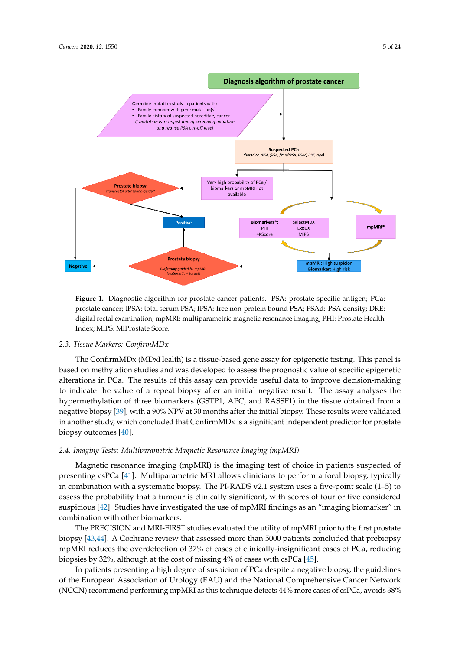<span id="page-4-0"></span>

**Figure 1.** Diagnostic algorithm for prostate cancer patients. PSA: prostate-specific antigen; PCa: **Figure 1.** Diagnostic algorithm for prostate cancer patients. PSA: prostate-specific antigen; PCa: prostate cancer; tPSA: total serum PSA; fPSA: free non-protein bound PSA; PSAd: PSA density; prostate cancer; tPSA: total serum PSA; fPSA: free non-protein bound PSA; PSAd: PSA density; DRE: digital rectal examination; mpMRI: multiparametric magnetic resonance imaging; PHI: Prostate Health Index; MiPS: MiProstate Score.

# *2.3. Tissue Markers: ConfirmMDx 2.3. Tissue Markers: ConfirmMDx*

The ConfirmMDx (MDxHealth) is a tissue-based gene assay for epigenetic testing. This panel is The ConfirmMDx (MDxHealth) is a tissue-based gene assay for epigenetic testing. This panel is based on methylation studies and was developed to assess the prognostic value of specific based on methylation studies and was developed to assess the prognostic value of specific epigenetic alterations in PCa. The results of this assay can provide useful data to improve decision-making to indicate the value of a repeat biopsy after an initial negative result. The assay analyses the hypermethylation of three biomarkers (GSTP1, APC, and RASSF1) in the tissue obtained from a negative biopsy [39], with a 90% NPV at 30 months after the initial biopsy. These results were validated in another study, which concluded that ConfirmMDx is a significant independent predictor for prostate biopsy outcomes  $[40]$ .

#### *2.4. Imaging Tests: Multiparametric Magnetic Resonance Imaging (mpMRI) 2.4. Imaging Tests: Multiparametric Magnetic Resonance Imaging (mpMRI)*

Magnetic resonance imaging (mpMRI) is the imaging test of choice in patients suspected of Magnetic resonance imaging (mpMRI) is the imaging test of choice in patients suspected of presenting csPCa [\[41](#page-17-4)]. Multiparametric MRI allows clinicians to perform a focal biopsy, typically in combination with a systematic biopsy. The PI-RADS v2.1 system uses a five-point scale (1-5) to assess the probability that a tumour is clinically significant, with scores of four or five considered assess the probability that a tumour is clinically significant, with scores of four or five considered suspiciou[s \[42](#page-17-5)]. Studies have investigated the use of mpMRI findings as an "imaging biomarker" in suspicious [42]. Studies have investigated the use of mpMRI findings as an "imaging biomarker" in combination with other biomarkers. combination with other biomarkers.

The PRECISION and MRI-FIRST studies evaluated the utility of mpMRI prior to the first The PRECISION and MRI-FIRST studies evaluated the utility of mpMRI prior to the first prostate biopsy [\[43,](#page-17-6)[44\]](#page-17-7). A Cochrane review that assessed more than 5000 patients concluded that prebiopsy mpMRI reduces the overdetection of 37% of cases of clinically-insignificant cases of PCa, reducing biopsies by 32%, although at the cost of missing 4% of cases with csPCa [\[45\]](#page-17-8).

In patients presenting a high degree of suspicion of PCa despite a negative biopsy, the In patients presenting a high degree of suspicion of PCa despite a negative biopsy, the guidelines of the European Association of Urology (EAU) and the National Comprehensive Cancer Network (NCCN) recommend performing mpMRI as this technique detects 44% more cases of csPCa, avoids 38%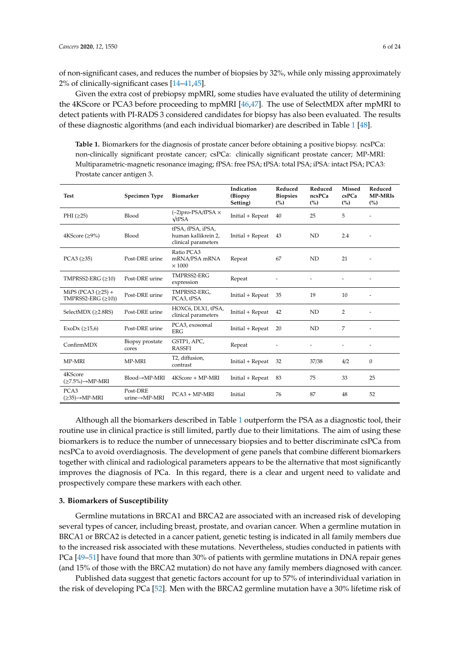of non-significant cases, and reduces the number of biopsies by 32%, while only missing approximately 2% of clinically-significant cases [\[14](#page-15-11)[–41](#page-17-4)[,45\]](#page-17-8).

Given the extra cost of prebiopsy mpMRI, some studies have evaluated the utility of determining the 4KScore or PCA3 before proceeding to mpMRI [\[46,](#page-17-9)[47\]](#page-17-10). The use of SelectMDX after mpMRI to detect patients with PI-RADS 3 considered candidates for biopsy has also been evaluated. The results of these diagnostic algorithms (and each individual biomarker) are described in Table [1](#page-5-0) [\[48\]](#page-17-11).

<span id="page-5-0"></span>**Table 1.** Biomarkers for the diagnosis of prostate cancer before obtaining a positive biopsy. ncsPCa: non-clinically significant prostate cancer; csPCa: clinically significant prostate cancer; MP-MRI: Multiparametric-magnetic resonance imaging; fPSA: free PSA; tPSA: total PSA; iPSA: intact PSA; PCA3: Prostate cancer antigen 3.

| <b>Test</b>                                           | Specimen Type                          | <b>Biomarker</b>                                                | Indication<br>(Biopsy)<br>Setting) | Reduced<br><b>Biopsies</b><br>(%) | Reduced<br>ncsPCa<br>(%) | <b>Missed</b><br>csPCa<br>(%) | Reduced<br><b>MP-MRIs</b><br>$\binom{0}{0}$ |
|-------------------------------------------------------|----------------------------------------|-----------------------------------------------------------------|------------------------------------|-----------------------------------|--------------------------|-------------------------------|---------------------------------------------|
| PHI $(225)$                                           | Blood                                  | $(-2)$ pro-PSA/fPSA $\times$<br>$\sqrt{tPSA}$                   | Initial + Repeat                   | 40                                | 25                       | 5                             |                                             |
| 4KScore $(≥9%)$                                       | Blood                                  | tPSA, fPSA, iPSA,<br>human kallikrein 2.<br>clinical parameters | Initial + Repeat                   | 43                                | ND                       | 2.4                           |                                             |
| PCA3 $(≥35)$                                          | Post-DRE urine                         | Ratio PCA3<br>mRNA/PSA mRNA<br>$\times$ 1000                    | Repeat                             | 67                                | ND                       | 21                            |                                             |
| TMPRSS2-ERG $(\geq 10)$                               | Post-DRE urine                         | TMPRSS2-ERG<br>expression                                       | Repeat                             |                                   |                          |                               |                                             |
| MiPS (PCA3 $(\geq 25)$ +<br>TMPRSS2-ERG $(\geq 10)$ ) | Post-DRE urine                         | TMPRSS2-ERG.<br>PCA3, tPSA                                      | Initial + Repeat                   | 35                                | 19                       | 10                            | $\overline{\phantom{a}}$                    |
| SelectMDX (≥2.8RS)                                    | Post-DRE urine                         | HOXC6, DLX1, tPSA,<br>clinical parameters                       | Initial + Repeat                   | 42                                | ND                       | 2                             |                                             |
| ExoDx $(\geq 15, 6)$                                  | Post-DRE urine                         | PCA3, exosomal<br><b>ERG</b>                                    | Initial + Repeat                   | 20                                | ND                       | 7                             | ٠                                           |
| ConfirmMDX                                            | Biopsy prostate<br>cores               | GSTP1, APC,<br>RASSF1                                           | Repeat                             |                                   |                          |                               |                                             |
| MP-MRI                                                | MP-MRI                                 | T2, diffusion,<br>contrast                                      | Initial + Repeat                   | 32                                | 37/38                    | 4/2                           | $\boldsymbol{0}$                            |
| 4KScore<br>$(\geq 7.5\%) \rightarrow MP-MRI$          | $Blood \rightarrow MP-MRI$             | 4KScore + MP-MRI                                                | Initial + Repeat                   | 83                                | 75                       | 33                            | 25                                          |
| PCA3<br>$(\geq 35) \rightarrow MP-MRI$                | Post-DRE<br>$urine \rightarrow MP-MRI$ | $PCA3 + MP-MRI$                                                 | Initial                            | 76                                | 87                       | 48                            | 52                                          |

Although all the biomarkers described in Table [1](#page-5-0) outperform the PSA as a diagnostic tool, their routine use in clinical practice is still limited, partly due to their limitations. The aim of using these biomarkers is to reduce the number of unnecessary biopsies and to better discriminate csPCa from ncsPCa to avoid overdiagnosis. The development of gene panels that combine different biomarkers together with clinical and radiological parameters appears to be the alternative that most significantly improves the diagnosis of PCa. In this regard, there is a clear and urgent need to validate and prospectively compare these markers with each other.

# **3. Biomarkers of Susceptibility**

Germline mutations in BRCA1 and BRCA2 are associated with an increased risk of developing several types of cancer, including breast, prostate, and ovarian cancer. When a germline mutation in BRCA1 or BRCA2 is detected in a cancer patient, genetic testing is indicated in all family members due to the increased risk associated with these mutations. Nevertheless, studies conducted in patients with PCa [\[49](#page-17-12)[–51\]](#page-17-13) have found that more than 30% of patients with germline mutations in DNA repair genes (and 15% of those with the BRCA2 mutation) do not have any family members diagnosed with cancer.

Published data suggest that genetic factors account for up to 57% of interindividual variation in the risk of developing PCa [\[52\]](#page-18-0). Men with the BRCA2 germline mutation have a 30% lifetime risk of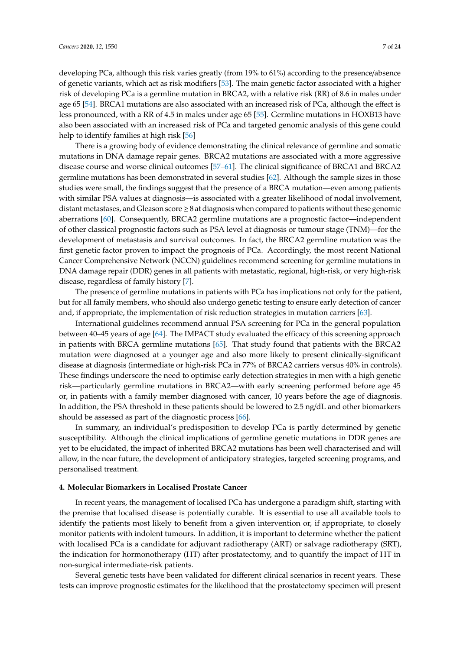developing PCa, although this risk varies greatly (from 19% to 61%) according to the presence/absence of genetic variants, which act as risk modifiers [\[53\]](#page-18-1). The main genetic factor associated with a higher risk of developing PCa is a germline mutation in BRCA2, with a relative risk (RR) of 8.6 in males under age 65 [\[54\]](#page-18-2). BRCA1 mutations are also associated with an increased risk of PCa, although the effect is less pronounced, with a RR of 4.5 in males under age 65 [\[55\]](#page-18-3). Germline mutations in HOXB13 have also been associated with an increased risk of PCa and targeted genomic analysis of this gene could help to identify families at high risk [\[56\]](#page-18-4)

There is a growing body of evidence demonstrating the clinical relevance of germline and somatic mutations in DNA damage repair genes. BRCA2 mutations are associated with a more aggressive disease course and worse clinical outcomes [\[57–](#page-18-5)[61\]](#page-18-6). The clinical significance of BRCA1 and BRCA2 germline mutations has been demonstrated in several studies [\[62\]](#page-18-7). Although the sample sizes in those studies were small, the findings suggest that the presence of a BRCA mutation—even among patients with similar PSA values at diagnosis—is associated with a greater likelihood of nodal involvement, distant metastases, and Gleason score≥8 at diagnosis when compared to patients without these genomic aberrations [\[60\]](#page-18-8). Consequently, BRCA2 germline mutations are a prognostic factor—independent of other classical prognostic factors such as PSA level at diagnosis or tumour stage (TNM)—for the development of metastasis and survival outcomes. In fact, the BRCA2 germline mutation was the first genetic factor proven to impact the prognosis of PCa. Accordingly, the most recent National Cancer Comprehensive Network (NCCN) guidelines recommend screening for germline mutations in DNA damage repair (DDR) genes in all patients with metastatic, regional, high-risk, or very high-risk disease, regardless of family history [\[7\]](#page-15-5).

The presence of germline mutations in patients with PCa has implications not only for the patient, but for all family members, who should also undergo genetic testing to ensure early detection of cancer and, if appropriate, the implementation of risk reduction strategies in mutation carriers [\[63\]](#page-18-9).

International guidelines recommend annual PSA screening for PCa in the general population between 40–45 years of age [\[64\]](#page-18-10). The IMPACT study evaluated the efficacy of this screening approach in patients with BRCA germline mutations [\[65\]](#page-18-11). That study found that patients with the BRCA2 mutation were diagnosed at a younger age and also more likely to present clinically-significant disease at diagnosis (intermediate or high-risk PCa in 77% of BRCA2 carriers versus 40% in controls). These findings underscore the need to optimise early detection strategies in men with a high genetic risk—particularly germline mutations in BRCA2—with early screening performed before age 45 or, in patients with a family member diagnosed with cancer, 10 years before the age of diagnosis. In addition, the PSA threshold in these patients should be lowered to 2.5 ng/dL and other biomarkers should be assessed as part of the diagnostic process [\[66\]](#page-18-12).

In summary, an individual's predisposition to develop PCa is partly determined by genetic susceptibility. Although the clinical implications of germline genetic mutations in DDR genes are yet to be elucidated, the impact of inherited BRCA2 mutations has been well characterised and will allow, in the near future, the development of anticipatory strategies, targeted screening programs, and personalised treatment.

# **4. Molecular Biomarkers in Localised Prostate Cancer**

In recent years, the management of localised PCa has undergone a paradigm shift, starting with the premise that localised disease is potentially curable. It is essential to use all available tools to identify the patients most likely to benefit from a given intervention or, if appropriate, to closely monitor patients with indolent tumours. In addition, it is important to determine whether the patient with localised PCa is a candidate for adjuvant radiotherapy (ART) or salvage radiotherapy (SRT), the indication for hormonotherapy (HT) after prostatectomy, and to quantify the impact of HT in non-surgical intermediate-risk patients.

Several genetic tests have been validated for different clinical scenarios in recent years. These tests can improve prognostic estimates for the likelihood that the prostatectomy specimen will present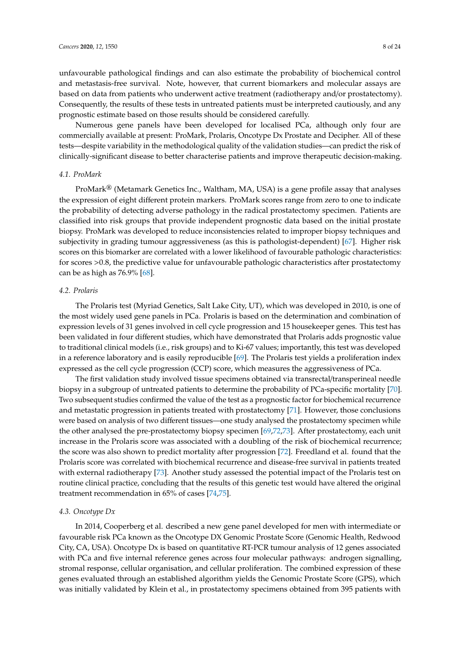unfavourable pathological findings and can also estimate the probability of biochemical control and metastasis-free survival. Note, however, that current biomarkers and molecular assays are based on data from patients who underwent active treatment (radiotherapy and/or prostatectomy). Consequently, the results of these tests in untreated patients must be interpreted cautiously, and any prognostic estimate based on those results should be considered carefully.

Numerous gene panels have been developed for localised PCa, although only four are commercially available at present: ProMark, Prolaris, Oncotype Dx Prostate and Decipher. All of these tests—despite variability in the methodological quality of the validation studies—can predict the risk of clinically-significant disease to better characterise patients and improve therapeutic decision-making.

### *4.1. ProMark*

ProMark® (Metamark Genetics Inc., Waltham, MA, USA) is a gene profile assay that analyses the expression of eight different protein markers. ProMark scores range from zero to one to indicate the probability of detecting adverse pathology in the radical prostatectomy specimen. Patients are classified into risk groups that provide independent prognostic data based on the initial prostate biopsy. ProMark was developed to reduce inconsistencies related to improper biopsy techniques and subjectivity in grading tumour aggressiveness (as this is pathologist-dependent) [\[67\]](#page-18-13). Higher risk scores on this biomarker are correlated with a lower likelihood of favourable pathologic characteristics: for scores >0.8, the predictive value for unfavourable pathologic characteristics after prostatectomy can be as high as 76.9% [\[68\]](#page-18-14).

# *4.2. Prolaris*

The Prolaris test (Myriad Genetics, Salt Lake City, UT), which was developed in 2010, is one of the most widely used gene panels in PCa. Prolaris is based on the determination and combination of expression levels of 31 genes involved in cell cycle progression and 15 housekeeper genes. This test has been validated in four different studies, which have demonstrated that Prolaris adds prognostic value to traditional clinical models (i.e., risk groups) and to Ki-67 values; importantly, this test was developed in a reference laboratory and is easily reproducible [\[69\]](#page-19-0). The Prolaris test yields a proliferation index expressed as the cell cycle progression (CCP) score, which measures the aggressiveness of PCa.

The first validation study involved tissue specimens obtained via transrectal/transperineal needle biopsy in a subgroup of untreated patients to determine the probability of PCa-specific mortality [\[70\]](#page-19-1). Two subsequent studies confirmed the value of the test as a prognostic factor for biochemical recurrence and metastatic progression in patients treated with prostatectomy [\[71\]](#page-19-2). However, those conclusions were based on analysis of two different tissues—one study analysed the prostatectomy specimen while the other analysed the pre-prostatectomy biopsy specimen [\[69](#page-19-0)[,72](#page-19-3)[,73\]](#page-19-4). After prostatectomy, each unit increase in the Prolaris score was associated with a doubling of the risk of biochemical recurrence; the score was also shown to predict mortality after progression [\[72\]](#page-19-3). Freedland et al. found that the Prolaris score was correlated with biochemical recurrence and disease-free survival in patients treated with external radiotherapy [\[73\]](#page-19-4). Another study assessed the potential impact of the Prolaris test on routine clinical practice, concluding that the results of this genetic test would have altered the original treatment recommendation in 65% of cases [\[74](#page-19-5)[,75\]](#page-19-6).

# *4.3. Oncotype Dx*

In 2014, Cooperberg et al. described a new gene panel developed for men with intermediate or favourable risk PCa known as the Oncotype DX Genomic Prostate Score (Genomic Health, Redwood City, CA, USA). Oncotype Dx is based on quantitative RT-PCR tumour analysis of 12 genes associated with PCa and five internal reference genes across four molecular pathways: androgen signalling, stromal response, cellular organisation, and cellular proliferation. The combined expression of these genes evaluated through an established algorithm yields the Genomic Prostate Score (GPS), which was initially validated by Klein et al., in prostatectomy specimens obtained from 395 patients with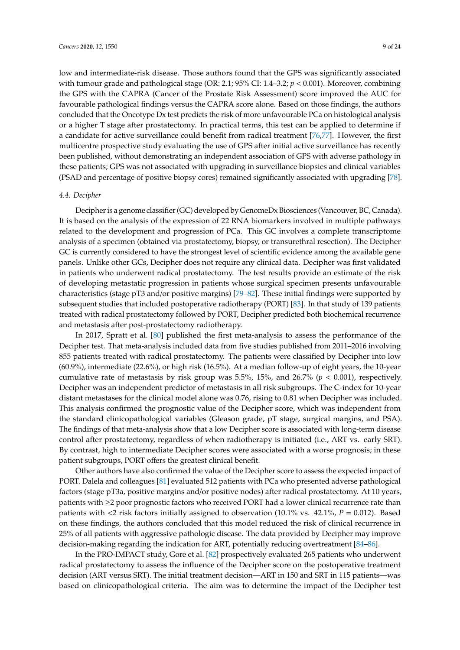low and intermediate-risk disease. Those authors found that the GPS was significantly associated with tumour grade and pathological stage (OR: 2.1; 95% CI: 1.4–3.2; *p* < 0.001). Moreover, combining the GPS with the CAPRA (Cancer of the Prostate Risk Assessment) score improved the AUC for favourable pathological findings versus the CAPRA score alone. Based on those findings, the authors concluded that the Oncotype Dx test predicts the risk of more unfavourable PCa on histological analysis or a higher T stage after prostatectomy. In practical terms, this test can be applied to determine if a candidate for active surveillance could benefit from radical treatment [\[76,](#page-19-7)[77\]](#page-19-8). However, the first multicentre prospective study evaluating the use of GPS after initial active surveillance has recently been published, without demonstrating an independent association of GPS with adverse pathology in these patients; GPS was not associated with upgrading in surveillance biopsies and clinical variables (PSAD and percentage of positive biopsy cores) remained significantly associated with upgrading [\[78\]](#page-19-9).

# *4.4. Decipher*

Decipher is a genome classifier (GC) developed by GenomeDx Biosciences (Vancouver, BC, Canada). It is based on the analysis of the expression of 22 RNA biomarkers involved in multiple pathways related to the development and progression of PCa. This GC involves a complete transcriptome analysis of a specimen (obtained via prostatectomy, biopsy, or transurethral resection). The Decipher GC is currently considered to have the strongest level of scientific evidence among the available gene panels. Unlike other GCs, Decipher does not require any clinical data. Decipher was first validated in patients who underwent radical prostatectomy. The test results provide an estimate of the risk of developing metastatic progression in patients whose surgical specimen presents unfavourable characteristics (stage pT3 and/or positive margins) [\[79](#page-19-10)[–82\]](#page-19-11). These initial findings were supported by subsequent studies that included postoperative radiotherapy (PORT) [\[83\]](#page-20-0). In that study of 139 patients treated with radical prostatectomy followed by PORT, Decipher predicted both biochemical recurrence and metastasis after post-prostatectomy radiotherapy.

In 2017, Spratt et al. [\[80\]](#page-19-12) published the first meta-analysis to assess the performance of the Decipher test. That meta-analysis included data from five studies published from 2011–2016 involving 855 patients treated with radical prostatectomy. The patients were classified by Decipher into low (60.9%), intermediate (22.6%), or high risk (16.5%). At a median follow-up of eight years, the 10-year cumulative rate of metastasis by risk group was 5.5%, 15%, and 26.7% (*p* < 0.001), respectively. Decipher was an independent predictor of metastasis in all risk subgroups. The C-index for 10-year distant metastases for the clinical model alone was 0.76, rising to 0.81 when Decipher was included. This analysis confirmed the prognostic value of the Decipher score, which was independent from the standard clinicopathological variables (Gleason grade, pT stage, surgical margins, and PSA). The findings of that meta-analysis show that a low Decipher score is associated with long-term disease control after prostatectomy, regardless of when radiotherapy is initiated (i.e., ART vs. early SRT). By contrast, high to intermediate Decipher scores were associated with a worse prognosis; in these patient subgroups, PORT offers the greatest clinical benefit.

Other authors have also confirmed the value of the Decipher score to assess the expected impact of PORT. Dalela and colleagues [\[81\]](#page-19-13) evaluated 512 patients with PCa who presented adverse pathological factors (stage pT3a, positive margins and/or positive nodes) after radical prostatectomy. At 10 years, patients with ≥2 poor prognostic factors who received PORT had a lower clinical recurrence rate than patients with <2 risk factors initially assigned to observation (10.1% vs. 42.1%, *P* = 0.012). Based on these findings, the authors concluded that this model reduced the risk of clinical recurrence in 25% of all patients with aggressive pathologic disease. The data provided by Decipher may improve decision-making regarding the indication for ART, potentially reducing overtreatment [\[84](#page-20-1)[–86\]](#page-20-2).

In the PRO-IMPACT study, Gore et al. [\[82\]](#page-19-11) prospectively evaluated 265 patients who underwent radical prostatectomy to assess the influence of the Decipher score on the postoperative treatment decision (ART versus SRT). The initial treatment decision—ART in 150 and SRT in 115 patients—was based on clinicopathological criteria. The aim was to determine the impact of the Decipher test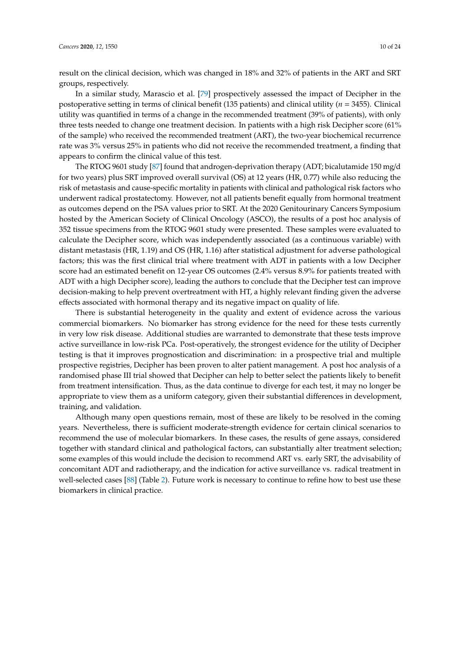result on the clinical decision, which was changed in 18% and 32% of patients in the ART and SRT groups, respectively.

In a similar study, Marascio et al. [\[79\]](#page-19-10) prospectively assessed the impact of Decipher in the postoperative setting in terms of clinical benefit (135 patients) and clinical utility (*n* = 3455). Clinical utility was quantified in terms of a change in the recommended treatment (39% of patients), with only three tests needed to change one treatment decision. In patients with a high risk Decipher score (61% of the sample) who received the recommended treatment (ART), the two-year biochemical recurrence rate was 3% versus 25% in patients who did not receive the recommended treatment, a finding that appears to confirm the clinical value of this test.

The RTOG 9601 study [\[87\]](#page-20-3) found that androgen-deprivation therapy (ADT; bicalutamide 150 mg/d for two years) plus SRT improved overall survival (OS) at 12 years (HR, 0.77) while also reducing the risk of metastasis and cause-specific mortality in patients with clinical and pathological risk factors who underwent radical prostatectomy. However, not all patients benefit equally from hormonal treatment as outcomes depend on the PSA values prior to SRT. At the 2020 Genitourinary Cancers Symposium hosted by the American Society of Clinical Oncology (ASCO), the results of a post hoc analysis of 352 tissue specimens from the RTOG 9601 study were presented. These samples were evaluated to calculate the Decipher score, which was independently associated (as a continuous variable) with distant metastasis (HR, 1.19) and OS (HR, 1.16) after statistical adjustment for adverse pathological factors; this was the first clinical trial where treatment with ADT in patients with a low Decipher score had an estimated benefit on 12-year OS outcomes (2.4% versus 8.9% for patients treated with ADT with a high Decipher score), leading the authors to conclude that the Decipher test can improve decision-making to help prevent overtreatment with HT, a highly relevant finding given the adverse effects associated with hormonal therapy and its negative impact on quality of life.

There is substantial heterogeneity in the quality and extent of evidence across the various commercial biomarkers. No biomarker has strong evidence for the need for these tests currently in very low risk disease. Additional studies are warranted to demonstrate that these tests improve active surveillance in low-risk PCa. Post-operatively, the strongest evidence for the utility of Decipher testing is that it improves prognostication and discrimination: in a prospective trial and multiple prospective registries, Decipher has been proven to alter patient management. A post hoc analysis of a randomised phase III trial showed that Decipher can help to better select the patients likely to benefit from treatment intensification. Thus, as the data continue to diverge for each test, it may no longer be appropriate to view them as a uniform category, given their substantial differences in development, training, and validation.

Although many open questions remain, most of these are likely to be resolved in the coming years. Nevertheless, there is sufficient moderate-strength evidence for certain clinical scenarios to recommend the use of molecular biomarkers. In these cases, the results of gene assays, considered together with standard clinical and pathological factors, can substantially alter treatment selection; some examples of this would include the decision to recommend ART vs. early SRT, the advisability of concomitant ADT and radiotherapy, and the indication for active surveillance vs. radical treatment in well-selected cases [\[88\]](#page-20-4) (Table [2\)](#page-10-0). Future work is necessary to continue to refine how to best use these biomarkers in clinical practice.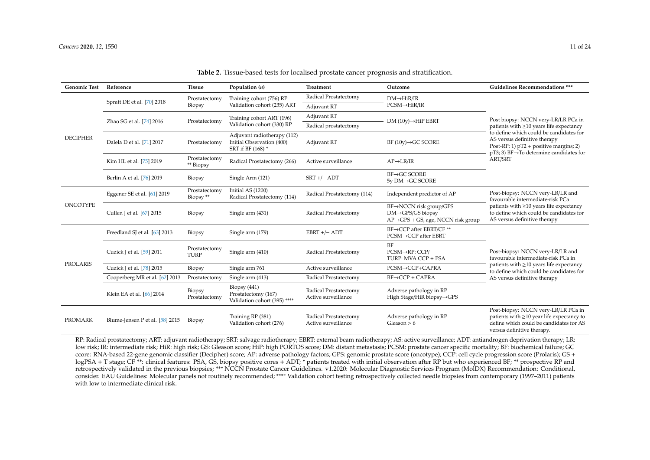| <b>Genomic Test</b> | Reference                                                 | <b>Tissue</b>                  | Population $(n)$                                                              | Treatment                                    | Outcome                                                                                                                    | <b>Guidelines Recommendations ***</b>                                                                                                                                          |  |
|---------------------|-----------------------------------------------------------|--------------------------------|-------------------------------------------------------------------------------|----------------------------------------------|----------------------------------------------------------------------------------------------------------------------------|--------------------------------------------------------------------------------------------------------------------------------------------------------------------------------|--|
| <b>DECIPHER</b>     |                                                           | Prostatectomy<br><b>Biopsy</b> | Training cohort (756) RP<br>Validation cohort (235) ART                       | Radical Prostatectomy                        | $DM \rightarrow HiR/IR$                                                                                                    | Post biopsy: NCCN very-LR/LR PCa in                                                                                                                                            |  |
|                     | Spratt DE et al. [70] 2018                                |                                |                                                                               | Adjuvant RT                                  | $PCSM \rightarrow HiR/IR$                                                                                                  |                                                                                                                                                                                |  |
|                     | Zhao SG et al. [74] 2016                                  | Prostatectomy                  | Training cohort ART (196)<br>Validation cohort (330) RP                       | Adjuvant RT                                  | $DM(10y) \rightarrow HiP$ EBRT                                                                                             |                                                                                                                                                                                |  |
|                     |                                                           |                                |                                                                               | Radical prostatectomy                        |                                                                                                                            | patients with ≥10 years life expectancy                                                                                                                                        |  |
|                     | Dalela D et al. [71] 2017                                 | Prostatectomy                  | Adjuvant radiotherapy (112)<br>Initial Observation (400)<br>SRT if BF (168) * | Adjuvant RT                                  | $BF(10y) \rightarrow GC$ SCORE                                                                                             | to define which could be candidates for<br>AS versus definitive therapy<br>Post-RP: 1) $pT2$ + positive margins; 2)<br>$pT3$ ; 3) BF $\rightarrow$ To determine candidates for |  |
|                     | Kim HL et al. [75] 2019                                   | Prostatectomy<br>** Biopsy     | Radical Prostatectomy (266)                                                   | Active surveillance                          | $AP \rightarrow LR/IR$                                                                                                     | ART/SRT                                                                                                                                                                        |  |
|                     | Berlin A et al. [76] 2019                                 | Biopsy                         | Single Arm (121)                                                              | $SRT$ +/- $ADT$                              | $BF\rightarrow GC$ SCORE<br>5y DM→GC SCORE                                                                                 |                                                                                                                                                                                |  |
| ONCOTYPE            | Eggener SE et al. [61] 2019                               | Prostatectomy<br>Biopsy **     | Initial AS (1200)<br>Radical Prostatectomy (114)                              | Radical Prostatectomy (114)                  | Independent predictor of AP                                                                                                | Post-biopsy: NCCN very-LR/LR and<br>favourable intermediate-risk PCa                                                                                                           |  |
|                     | Cullen J et al. [67] 2015                                 | Biopsy                         | Single arm (431)                                                              | Radical Prostatectomy                        | $BF \rightarrow NCCN$ risk group/GPS<br>$DM \rightarrow GPS/GS$ biopsy<br>$AP \rightarrow GPS + GS$ , age, NCCN risk group | patients with $\geq 10$ years life expectancy<br>to define which could be candidates for<br>AS versus definitive therapy                                                       |  |
| PROLARIS            | Freedland SJ et al. [63] 2013                             | Biopsy                         | Single arm (179)                                                              | $EBRT +/- ADT$                               | BF→CCP after EBRT/CF **<br>PCSM→CCP after EBRT                                                                             |                                                                                                                                                                                |  |
|                     | Prostatectomy<br>Cuzick J et al. [59] 2011<br><b>TURP</b> |                                | Single arm (410)                                                              | Radical Prostatectomy                        | BF<br>$PCSM \rightarrow RP$ : $CCP/$<br>TURP: MVA CCP + PSA                                                                | Post-biopsy: NCCN very-LR/LR and<br>favourable intermediate-risk PCa in                                                                                                        |  |
|                     | Cuzick J et al. [78] 2015                                 | Biopsy                         | Single arm 761                                                                | Active surveillance                          | PCSM→CCP+CAPRA                                                                                                             | patients with $\geq$ 10 years life expectancy<br>to define which could be candidates for                                                                                       |  |
|                     | Cooperberg MR et al. [62] 2013                            | Prostatectomy                  | Single arm (413)                                                              | Radical Prostatectomy                        | $BF\rightarrow CCP + CAPRA$                                                                                                | AS versus definitive therapy                                                                                                                                                   |  |
|                     | Klein EA et al. [66] 2014                                 | Biopsy<br>Prostatectomy        | Biopsy $(441)$<br>Prostatectomy (167)<br>Validation cohort (395) ****         | Radical Prostatectomy<br>Active surveillance | Adverse pathology in RP<br>High Stage/HiR biopsy→GPS                                                                       |                                                                                                                                                                                |  |
| <b>PROMARK</b>      | Blume-Jensen P et al. [58] 2015                           | <b>Biopsy</b>                  | Training RP (381)<br>Validation cohort (276)                                  | Radical Prostatectomy<br>Active surveillance | Adverse pathology in RP<br>Gleason $> 6$                                                                                   | Post-biopsy: NCCN very-LR/LR PCa in<br>patients with $\geq$ 10 year life expectancy to<br>define which could be candidates for AS<br>versus definitive therapy.                |  |

#### **Table 2.** Tissue-based tests for localised prostate cancer prognosis and stratification.

<span id="page-10-0"></span>RP: Radical prostatectomy; ART: adjuvant radiotherapy; SRT: salvage radiotherapy; EBRT: external beam radiotherapy; AS: active surveillance; ADT: antiandrogen deprivation therapy; LR: low risk; IR: intermediate risk; HiR: high risk; GS: Gleason score; HiP: high PORTOS score; DM: distant metastasis; PCSM: prostate cancer specific mortality; BF: biochemical failure; GC ccore: RNA-based 22-gene genomic classifier (Decipher) score; AP: adverse pathology factors; GPS: genomic prostate score (oncotype); CCP: cell cycle progression score (Prolaris); GS + logPSA + T stage; CF<sup>\*\*</sup>: clinical features: PSA, GS, biopsy positive cores + ADT; \* patients treated with initial observation after RP but who experienced BF; \*\* prospective RP and retrospectively validated in the previous biopsies; \*\*\* NCCN Prostate Cancer Guidelines. v1.2020: Molecular Diagnostic Services Program (MolDX) Recommendation: Conditional, consider. EAU Guidelines: Molecular panels not routinely recommended; \*\*\*\* Validation cohort testing retrospectively collected needle biopsies from contemporary (1997–2011) patients with low to intermediate clinical risk.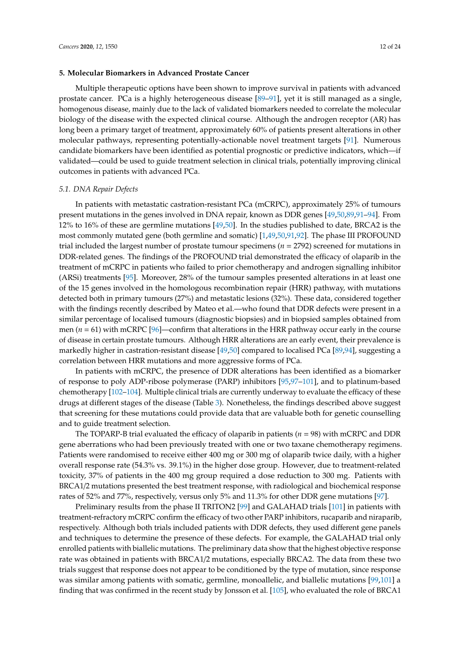# **5. Molecular Biomarkers in Advanced Prostate Cancer**

Multiple therapeutic options have been shown to improve survival in patients with advanced prostate cancer. PCa is a highly heterogeneous disease [\[89](#page-20-5)[–91\]](#page-20-6), yet it is still managed as a single, homogenous disease, mainly due to the lack of validated biomarkers needed to correlate the molecular biology of the disease with the expected clinical course. Although the androgen receptor (AR) has long been a primary target of treatment, approximately 60% of patients present alterations in other molecular pathways, representing potentially-actionable novel treatment targets [\[91\]](#page-20-6). Numerous candidate biomarkers have been identified as potential prognostic or predictive indicators, which—if validated—could be used to guide treatment selection in clinical trials, potentially improving clinical outcomes in patients with advanced PCa.

# *5.1. DNA Repair Defects*

In patients with metastatic castration-resistant PCa (mCRPC), approximately 25% of tumours present mutations in the genes involved in DNA repair, known as DDR genes [\[49,](#page-17-12)[50,](#page-17-14)[89,](#page-20-5)[91–](#page-20-6)[94\]](#page-20-7). From 12% to 16% of these are germline mutations [\[49](#page-17-12)[,50\]](#page-17-14). In the studies published to date, BRCA2 is the most commonly mutated gene (both germline and somatic) [\[1,](#page-15-0)[49,](#page-17-12)[50](#page-17-14)[,91](#page-20-6)[,92\]](#page-20-8). The phase III PROFOUND trial included the largest number of prostate tumour specimens (*n* = 2792) screened for mutations in DDR-related genes. The findings of the PROFOUND trial demonstrated the efficacy of olaparib in the treatment of mCRPC in patients who failed to prior chemotherapy and androgen signalling inhibitor (ARSi) treatments [\[95\]](#page-20-9). Moreover, 28% of the tumour samples presented alterations in at least one of the 15 genes involved in the homologous recombination repair (HRR) pathway, with mutations detected both in primary tumours (27%) and metastatic lesions (32%). These data, considered together with the findings recently described by Mateo et al.—who found that DDR defects were present in a similar percentage of localised tumours (diagnostic biopsies) and in biopsied samples obtained from men (*n* = 61) with mCRPC [\[96\]](#page-20-10)—confirm that alterations in the HRR pathway occur early in the course of disease in certain prostate tumours. Although HRR alterations are an early event, their prevalence is markedly higher in castration-resistant disease [\[49,](#page-17-12)[50\]](#page-17-14) compared to localised PCa [\[89,](#page-20-5)[94\]](#page-20-7), suggesting a correlation between HRR mutations and more aggressive forms of PCa.

In patients with mCRPC, the presence of DDR alterations has been identified as a biomarker of response to poly ADP-ribose polymerase (PARP) inhibitors [\[95](#page-20-9)[,97](#page-20-11)[–101\]](#page-21-0), and to platinum-based chemotherapy [\[102–](#page-21-1)[104\]](#page-21-2). Multiple clinical trials are currently underway to evaluate the efficacy of these drugs at different stages of the disease (Table [3\)](#page-12-0). Nonetheless, the findings described above suggest that screening for these mutations could provide data that are valuable both for genetic counselling and to guide treatment selection.

The TOPARP-B trial evaluated the efficacy of olaparib in patients (*n* = 98) with mCRPC and DDR gene aberrations who had been previously treated with one or two taxane chemotherapy regimens. Patients were randomised to receive either 400 mg or 300 mg of olaparib twice daily, with a higher overall response rate (54.3% vs. 39.1%) in the higher dose group. However, due to treatment-related toxicity, 37% of patients in the 400 mg group required a dose reduction to 300 mg. Patients with BRCA1/2 mutations presented the best treatment response, with radiological and biochemical response rates of 52% and 77%, respectively, versus only 5% and 11.3% for other DDR gene mutations [\[97\]](#page-20-11).

Preliminary results from the phase II TRITON2 [\[99\]](#page-21-3) and GALAHAD trials [\[101\]](#page-21-0) in patients with treatment-refractory mCRPC confirm the efficacy of two other PARP inhibitors, rucaparib and niraparib, respectively. Although both trials included patients with DDR defects, they used different gene panels and techniques to determine the presence of these defects. For example, the GALAHAD trial only enrolled patients with biallelic mutations. The preliminary data show that the highest objective response rate was obtained in patients with BRCA1/2 mutations, especially BRCA2. The data from these two trials suggest that response does not appear to be conditioned by the type of mutation, since response was similar among patients with somatic, germline, monoallelic, and biallelic mutations [\[99,](#page-21-3)[101\]](#page-21-0) a finding that was confirmed in the recent study by Jonsson et al. [\[105\]](#page-21-4), who evaluated the role of BRCA1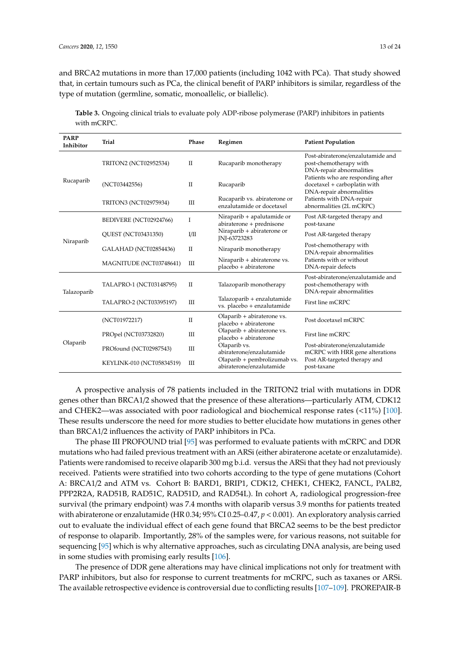and BRCA2 mutations in more than 17,000 patients (including 1042 with PCa). That study showed that, in certain tumours such as PCa, the clinical benefit of PARP inhibitors is similar, regardless of the type of mutation (germline, somatic, monoallelic, or biallelic).

| <b>PARP</b><br>Inhibitor | <b>Trial</b>              | Phase                            | Regimen                                                   | <b>Patient Population</b>                                                                     |  |
|--------------------------|---------------------------|----------------------------------|-----------------------------------------------------------|-----------------------------------------------------------------------------------------------|--|
| Rucaparib                | TRITON2 (NCT02952534)     | П                                | Rucaparib monotherapy                                     | Post-abiraterone/enzalutamide and<br>post-chemotherapy with<br>DNA-repair abnormalities       |  |
|                          | (NCT03442556)             | П                                | Rucaparib                                                 | Patients who are responding after<br>docetaxel + carboplatin with<br>DNA-repair abnormalities |  |
|                          | TRITON3 (NCT02975934)     | Ш                                | Rucaparib vs. abiraterone or<br>enzalutamide or docetaxel | Patients with DNA-repair<br>abnormalities (2L mCRPC)                                          |  |
| Niraparib                | BEDIVERE (NCT02924766)    | I                                | Niraparib + apalutamide or<br>abiraterone + prednisone    | Post AR-targeted therapy and<br>post-taxane                                                   |  |
|                          | QUEST (NCT03431350)       | I/II                             | Niraparib + abiraterone or<br>INI-63723283                | Post AR-targeted therapy                                                                      |  |
|                          | GALAHAD (NCT02854436)     | $\mathbf{I}$                     | Niraparib monotherapy                                     | Post-chemotherapy with<br>DNA-repair abnormalities                                            |  |
|                          | MAGNITUDE (NCT03748641)   | Ш                                | Niraparib + abiraterone vs.<br>placebo + abiraterone      | Patients with or without<br>DNA-repair defects                                                |  |
| Talazoparib              | TALAPRO-1 (NCT03148795)   | П                                | Talazoparib monotherapy                                   | Post-abiraterone/enzalutamide and<br>post-chemotherapy with<br>DNA-repair abnormalities       |  |
|                          | TALAPRO-2 (NCT03395197)   | Ш                                | Talazoparib + enzalutamide<br>vs. placebo + enzalutamide  | First line mCRPC                                                                              |  |
| Olaparib                 | (NCT01972217)             | $\mathbf{I}$                     | Olaparib + abiraterone vs.<br>placebo + abiraterone       | Post docetaxel mCRPC                                                                          |  |
|                          | PROpel (NCT03732820)      | $\mathop{\mathrm{III}}\nolimits$ | Olaparib + abiraterone vs.<br>placebo + abiraterone       | First line mCRPC                                                                              |  |
|                          | PROfound (NCT02987543)    | $\mathop{\mathrm{III}}\nolimits$ | Olaparib vs.<br>abiraterone/enzalutamide                  | Post-abiraterone/enzalutamide<br>mCRPC with HRR gene alterations                              |  |
|                          | KEYLINK-010 (NCT05834519) | Ш                                | Olaparib + pembrolizumab vs.<br>abiraterone/enzalutamide  | Post AR-targeted therapy and<br>post-taxane                                                   |  |

<span id="page-12-0"></span>**Table 3.** Ongoing clinical trials to evaluate poly ADP-ribose polymerase (PARP) inhibitors in patients with mCRPC.

A prospective analysis of 78 patients included in the TRITON2 trial with mutations in DDR genes other than BRCA1/2 showed that the presence of these alterations—particularly ATM, CDK12 and CHEK2—was associated with poor radiological and biochemical response rates (<11%) [\[100\]](#page-21-5). These results underscore the need for more studies to better elucidate how mutations in genes other than BRCA1/2 influences the activity of PARP inhibitors in PCa.

The phase III PROFOUND trial [\[95\]](#page-20-9) was performed to evaluate patients with mCRPC and DDR mutations who had failed previous treatment with an ARSi (either abiraterone acetate or enzalutamide). Patients were randomised to receive olaparib 300 mg b.i.d. versus the ARSi that they had not previously received. Patients were stratified into two cohorts according to the type of gene mutations (Cohort A: BRCA1/2 and ATM vs. Cohort B: BARD1, BRIP1, CDK12, CHEK1, CHEK2, FANCL, PALB2, PPP2R2A, RAD51B, RAD51C, RAD51D, and RAD54L). In cohort A, radiological progression-free survival (the primary endpoint) was 7.4 months with olaparib versus 3.9 months for patients treated with abiraterone or enzalutamide (HR 0.34; 95% CI 0.25–0.47, *p* < 0.001). An exploratory analysis carried out to evaluate the individual effect of each gene found that BRCA2 seems to be the best predictor of response to olaparib. Importantly, 28% of the samples were, for various reasons, not suitable for sequencing [\[95\]](#page-20-9) which is why alternative approaches, such as circulating DNA analysis, are being used in some studies with promising early results [\[106\]](#page-21-6).

The presence of DDR gene alterations may have clinical implications not only for treatment with PARP inhibitors, but also for response to current treatments for mCRPC, such as taxanes or ARSi. The available retrospective evidence is controversial due to conflicting results [\[107–](#page-21-7)[109\]](#page-21-8). PROREPAIR-B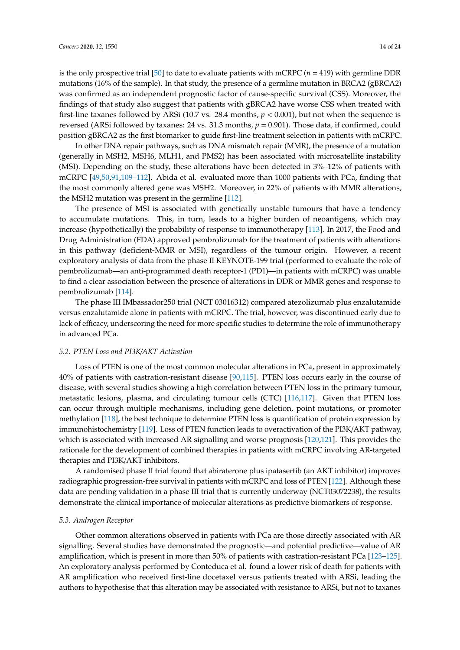is the only prospective trial [\[50\]](#page-17-14) to date to evaluate patients with mCRPC ( $n = 419$ ) with germline DDR mutations (16% of the sample). In that study, the presence of a germline mutation in BRCA2 (gBRCA2) was confirmed as an independent prognostic factor of cause-specific survival (CSS). Moreover, the findings of that study also suggest that patients with gBRCA2 have worse CSS when treated with first-line taxanes followed by ARSi (10.7 vs. 28.4 months, *p* < 0.001), but not when the sequence is reversed (ARSi followed by taxanes: 24 vs. 31.3 months, *p* = 0.901). Those data, if confirmed, could position gBRCA2 as the first biomarker to guide first-line treatment selection in patients with mCRPC.

In other DNA repair pathways, such as DNA mismatch repair (MMR), the presence of a mutation (generally in MSH2, MSH6, MLH1, and PMS2) has been associated with microsatellite instability (MSI). Depending on the study, these alterations have been detected in 3%–12% of patients with mCRPC [\[49,](#page-17-12)[50,](#page-17-14)[91,](#page-20-6)[109–](#page-21-8)[112\]](#page-21-9). Abida et al. evaluated more than 1000 patients with PCa, finding that the most commonly altered gene was MSH2. Moreover, in 22% of patients with MMR alterations, the MSH2 mutation was present in the germline [\[112\]](#page-21-9).

The presence of MSI is associated with genetically unstable tumours that have a tendency to accumulate mutations. This, in turn, leads to a higher burden of neoantigens, which may increase (hypothetically) the probability of response to immunotherapy [\[113\]](#page-21-10). In 2017, the Food and Drug Administration (FDA) approved pembrolizumab for the treatment of patients with alterations in this pathway (deficient-MMR or MSI), regardless of the tumour origin. However, a recent exploratory analysis of data from the phase II KEYNOTE-199 trial (performed to evaluate the role of pembrolizumab—an anti-programmed death receptor-1 (PD1)—in patients with mCRPC) was unable to find a clear association between the presence of alterations in DDR or MMR genes and response to pembrolizumab [\[114\]](#page-22-0).

The phase III IMbassador250 trial (NCT 03016312) compared atezolizumab plus enzalutamide versus enzalutamide alone in patients with mCRPC. The trial, however, was discontinued early due to lack of efficacy, underscoring the need for more specific studies to determine the role of immunotherapy in advanced PCa.

# *5.2. PTEN Loss and PI3K*/*AKT Activation*

Loss of PTEN is one of the most common molecular alterations in PCa, present in approximately 40% of patients with castration-resistant disease [\[90](#page-20-12)[,115\]](#page-22-1). PTEN loss occurs early in the course of disease, with several studies showing a high correlation between PTEN loss in the primary tumour, metastatic lesions, plasma, and circulating tumour cells (CTC) [\[116,](#page-22-2)[117\]](#page-22-3). Given that PTEN loss can occur through multiple mechanisms, including gene deletion, point mutations, or promoter methylation [\[118\]](#page-22-4), the best technique to determine PTEN loss is quantification of protein expression by immunohistochemistry [\[119\]](#page-22-5). Loss of PTEN function leads to overactivation of the PI3K/AKT pathway, which is associated with increased AR signalling and worse prognosis [\[120,](#page-22-6)[121\]](#page-22-7). This provides the rationale for the development of combined therapies in patients with mCRPC involving AR-targeted therapies and PI3K/AKT inhibitors.

A randomised phase II trial found that abiraterone plus ipatasertib (an AKT inhibitor) improves radiographic progression-free survival in patients with mCRPC and loss of PTEN [\[122\]](#page-22-8). Although these data are pending validation in a phase III trial that is currently underway (NCT03072238), the results demonstrate the clinical importance of molecular alterations as predictive biomarkers of response.

# *5.3. Androgen Receptor*

Other common alterations observed in patients with PCa are those directly associated with AR signalling. Several studies have demonstrated the prognostic—and potential predictive—value of AR amplification, which is present in more than 50% of patients with castration-resistant PCa [\[123–](#page-22-9)[125\]](#page-22-10). An exploratory analysis performed by Conteduca et al. found a lower risk of death for patients with AR amplification who received first-line docetaxel versus patients treated with ARSi, leading the authors to hypothesise that this alteration may be associated with resistance to ARSi, but not to taxanes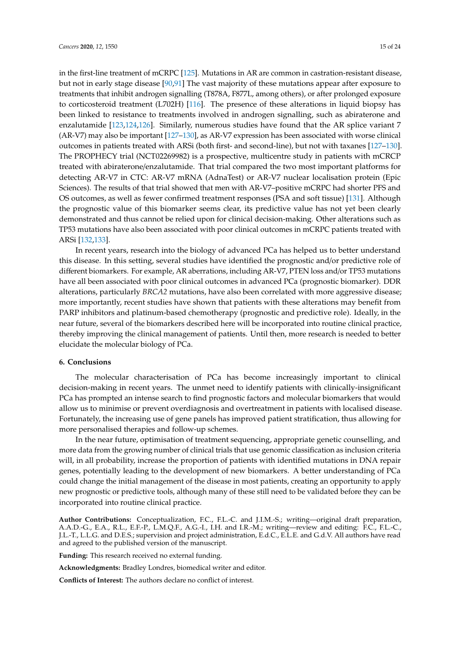in the first-line treatment of mCRPC [\[125\]](#page-22-10). Mutations in AR are common in castration-resistant disease, but not in early stage disease [\[90,](#page-20-12)[91\]](#page-20-6) The vast majority of these mutations appear after exposure to treatments that inhibit androgen signalling (T878A, F877L, among others), or after prolonged exposure to corticosteroid treatment (L702H) [\[116\]](#page-22-2). The presence of these alterations in liquid biopsy has been linked to resistance to treatments involved in androgen signalling, such as abiraterone and enzalutamide [\[123,](#page-22-9)[124,](#page-22-11)[126\]](#page-22-12). Similarly, numerous studies have found that the AR splice variant 7 (AR-V7) may also be important [\[127](#page-22-13)[–130\]](#page-22-14), as AR-V7 expression has been associated with worse clinical outcomes in patients treated with ARSi (both first- and second-line), but not with taxanes [\[127–](#page-22-13)[130\]](#page-22-14). The PROPHECY trial (NCT02269982) is a prospective, multicentre study in patients with mCRCP treated with abiraterone/enzalutamide. That trial compared the two most important platforms for detecting AR-V7 in CTC: AR-V7 mRNA (AdnaTest) or AR-V7 nuclear localisation protein (Epic Sciences). The results of that trial showed that men with AR-V7–positive mCRPC had shorter PFS and OS outcomes, as well as fewer confirmed treatment responses (PSA and soft tissue) [\[131\]](#page-23-0). Although the prognostic value of this biomarker seems clear, its predictive value has not yet been clearly demonstrated and thus cannot be relied upon for clinical decision-making. Other alterations such as TP53 mutations have also been associated with poor clinical outcomes in mCRPC patients treated with ARSi [\[132](#page-23-1)[,133\]](#page-23-2).

In recent years, research into the biology of advanced PCa has helped us to better understand this disease. In this setting, several studies have identified the prognostic and/or predictive role of different biomarkers. For example, AR aberrations, including AR-V7, PTEN loss and/or TP53 mutations have all been associated with poor clinical outcomes in advanced PCa (prognostic biomarker). DDR alterations, particularly *BRCA2* mutations, have also been correlated with more aggressive disease; more importantly, recent studies have shown that patients with these alterations may benefit from PARP inhibitors and platinum-based chemotherapy (prognostic and predictive role). Ideally, in the near future, several of the biomarkers described here will be incorporated into routine clinical practice, thereby improving the clinical management of patients. Until then, more research is needed to better elucidate the molecular biology of PCa.

# **6. Conclusions**

The molecular characterisation of PCa has become increasingly important to clinical decision-making in recent years. The unmet need to identify patients with clinically-insignificant PCa has prompted an intense search to find prognostic factors and molecular biomarkers that would allow us to minimise or prevent overdiagnosis and overtreatment in patients with localised disease. Fortunately, the increasing use of gene panels has improved patient stratification, thus allowing for more personalised therapies and follow-up schemes.

In the near future, optimisation of treatment sequencing, appropriate genetic counselling, and more data from the growing number of clinical trials that use genomic classification as inclusion criteria will, in all probability, increase the proportion of patients with identified mutations in DNA repair genes, potentially leading to the development of new biomarkers. A better understanding of PCa could change the initial management of the disease in most patients, creating an opportunity to apply new prognostic or predictive tools, although many of these still need to be validated before they can be incorporated into routine clinical practice.

**Author Contributions:** Conceptualization, F.C., F.L.-C. and J.I.M.-S.; writing—original draft preparation, A.A.D.-G., E.A., R.L., E.F.-P., L.M.Q.F., A.G.-I., I.H. and I.R.-M.; writing—review and editing: F.C., F.L.-C., J.L.-T., L.L.G. and D.E.S.; supervision and project administration, E.d.C., E.L.E. and G.d.V. All authors have read and agreed to the published version of the manuscript.

**Funding:** This research received no external funding.

**Acknowledgments:** Bradley Londres, biomedical writer and editor.

**Conflicts of Interest:** The authors declare no conflict of interest.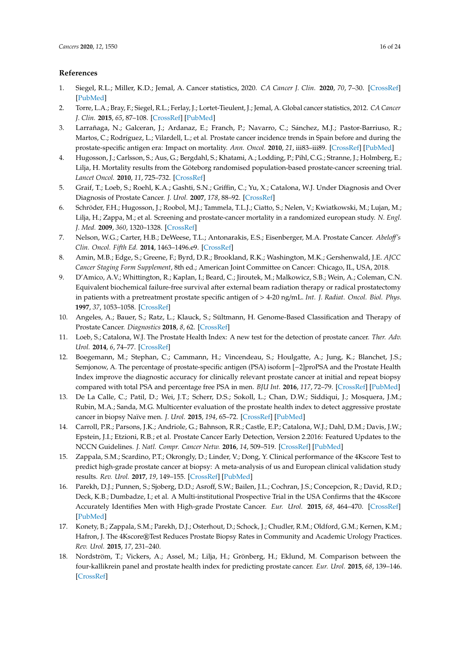# **References**

- <span id="page-15-0"></span>1. Siegel, R.L.; Miller, K.D.; Jemal, A. Cancer statistics, 2020. *CA Cancer J. Clin.* **2020**, *70*, 7–30. [\[CrossRef\]](http://dx.doi.org/10.3322/caac.21590) [\[PubMed\]](http://www.ncbi.nlm.nih.gov/pubmed/31912902)
- <span id="page-15-1"></span>2. Torre, L.A.; Bray, F.; Siegel, R.L.; Ferlay, J.; Lortet-Tieulent, J.; Jemal, A. Global cancer statistics, 2012. *CA Cancer J. Clin.* **2015**, *65*, 87–108. [\[CrossRef\]](http://dx.doi.org/10.3322/caac.21262) [\[PubMed\]](http://www.ncbi.nlm.nih.gov/pubmed/25651787)
- 3. Larrañaga, N.; Galceran, J.; Ardanaz, E.; Franch, P.; Navarro, C.; Sánchez, M.J.; Pastor-Barriuso, R.; Martos, C.; Rodríguez, L.; Vilardell, L.; et al. Prostate cancer incidence trends in Spain before and during the prostate-specific antigen era: Impact on mortality. *Ann. Oncol.* **2010**, *21*, iii83–iii89. [\[CrossRef\]](http://dx.doi.org/10.1093/annonc/mdq087) [\[PubMed\]](http://www.ncbi.nlm.nih.gov/pubmed/20427365)
- <span id="page-15-2"></span>4. Hugosson, J.; Carlsson, S.; Aus, G.; Bergdahl, S.; Khatami, A.; Lodding, P.; Pihl, C.G.; Stranne, J.; Holmberg, E.; Lilja, H. Mortality results from the Göteborg randomised population-based prostate-cancer screening trial. *Lancet Oncol.* **2010**, *11*, 725–732. [\[CrossRef\]](http://dx.doi.org/10.1016/S1470-2045(10)70146-7)
- <span id="page-15-3"></span>5. Graif, T.; Loeb, S.; Roehl, K.A.; Gashti, S.N.; Griffin, C.; Yu, X.; Catalona, W.J. Under Diagnosis and Over Diagnosis of Prostate Cancer. *J. Urol.* **2007**, *178*, 88–92. [\[CrossRef\]](http://dx.doi.org/10.1016/j.juro.2007.03.017)
- <span id="page-15-4"></span>6. Schröder, F.H.; Hugosson, J.; Roobol, M.J.; Tammela, T.L.J.; Ciatto, S.; Nelen, V.; Kwiatkowski, M.; Lujan, M.; Lilja, H.; Zappa, M.; et al. Screening and prostate-cancer mortality in a randomized european study. *N. Engl. J. Med.* **2009**, *360*, 1320–1328. [\[CrossRef\]](http://dx.doi.org/10.1056/NEJMoa0810084)
- <span id="page-15-5"></span>7. Nelson, W.G.; Carter, H.B.; DeWeese, T.L.; Antonarakis, E.S.; Eisenberger, M.A. Prostate Cancer. *Abelo*ff*'s Clin. Oncol. Fifth Ed.* **2014**, 1463–1496.e9. [\[CrossRef\]](http://dx.doi.org/10.1016/B978-1-4557-2865-7.00084-9)
- 8. Amin, M.B.; Edge, S.; Greene, F.; Byrd, D.R.; Brookland, R.K.; Washington, M.K.; Gershenwald, J.E. *AJCC Cancer Staging Form Supplement*, 8th ed.; American Joint Committee on Cancer: Chicago, IL, USA, 2018.
- <span id="page-15-6"></span>9. D'Amico, A.V.; Whittington, R.; Kaplan, I.; Beard, C.; Jiroutek, M.; Malkowicz, S.B.; Wein, A.; Coleman, C.N. Equivalent biochemical failure-free survival after external beam radiation therapy or radical prostatectomy in patients with a pretreatment prostate specific antigen of > 4-20 ng/mL. *Int. J. Radiat. Oncol. Biol. Phys.* **1997**, *37*, 1053–1058. [\[CrossRef\]](http://dx.doi.org/10.1016/S0360-3016(96)00633-5)
- <span id="page-15-7"></span>10. Angeles, A.; Bauer, S.; Ratz, L.; Klauck, S.; Sültmann, H. Genome-Based Classification and Therapy of Prostate Cancer. *Diagnostics* **2018**, *8*, 62. [\[CrossRef\]](http://dx.doi.org/10.3390/diagnostics8030062)
- <span id="page-15-8"></span>11. Loeb, S.; Catalona, W.J. The Prostate Health Index: A new test for the detection of prostate cancer. *Ther. Adv. Urol.* **2014**, *6*, 74–77. [\[CrossRef\]](http://dx.doi.org/10.1177/1756287213513488)
- <span id="page-15-9"></span>12. Boegemann, M.; Stephan, C.; Cammann, H.; Vincendeau, S.; Houlgatte, A.; Jung, K.; Blanchet, J.S.; Semjonow, A. The percentage of prostate-specific antigen (PSA) isoform [−2]proPSA and the Prostate Health Index improve the diagnostic accuracy for clinically relevant prostate cancer at initial and repeat biopsy compared with total PSA and percentage free PSA in men. *BJU Int.* **2016**, *117*, 72–79. [\[CrossRef\]](http://dx.doi.org/10.1111/bju.13139) [\[PubMed\]](http://www.ncbi.nlm.nih.gov/pubmed/25818705)
- <span id="page-15-10"></span>13. De La Calle, C.; Patil, D.; Wei, J.T.; Scherr, D.S.; Sokoll, L.; Chan, D.W.; Siddiqui, J.; Mosquera, J.M.; Rubin, M.A.; Sanda, M.G. Multicenter evaluation of the prostate health index to detect aggressive prostate cancer in biopsy Naïve men. *J. Urol.* **2015**, *194*, 65–72. [\[CrossRef\]](http://dx.doi.org/10.1016/j.juro.2015.01.091) [\[PubMed\]](http://www.ncbi.nlm.nih.gov/pubmed/25636659)
- <span id="page-15-11"></span>14. Carroll, P.R.; Parsons, J.K.; Andriole, G.; Bahnson, R.R.; Castle, E.P.; Catalona, W.J.; Dahl, D.M.; Davis, J.W.; Epstein, J.I.; Etzioni, R.B.; et al. Prostate Cancer Early Detection, Version 2.2016: Featured Updates to the NCCN Guidelines. *J. Natl. Compr. Cancer Netw.* **2016**, *14*, 509–519. [\[CrossRef\]](http://dx.doi.org/10.6004/jnccn.2016.0060) [\[PubMed\]](http://www.ncbi.nlm.nih.gov/pubmed/27160230)
- <span id="page-15-12"></span>15. Zappala, S.M.; Scardino, P.T.; Okrongly, D.; Linder, V.; Dong, Y. Clinical performance of the 4Kscore Test to predict high-grade prostate cancer at biopsy: A meta-analysis of us and European clinical validation study results. *Rev. Urol.* **2017**, *19*, 149–155. [\[CrossRef\]](http://dx.doi.org/10.3909/riu0776) [\[PubMed\]](http://www.ncbi.nlm.nih.gov/pubmed/29302237)
- <span id="page-15-13"></span>16. Parekh, D.J.; Punnen, S.; Sjoberg, D.D.; Asroff, S.W.; Bailen, J.L.; Cochran, J.S.; Concepcion, R.; David, R.D.; Deck, K.B.; Dumbadze, I.; et al. A Multi-institutional Prospective Trial in the USA Confirms that the 4Kscore Accurately Identifies Men with High-grade Prostate Cancer. *Eur. Urol.* **2015**, *68*, 464–470. [\[CrossRef\]](http://dx.doi.org/10.1016/j.eururo.2014.10.021) [\[PubMed\]](http://www.ncbi.nlm.nih.gov/pubmed/25454615)
- <span id="page-15-14"></span>17. Konety, B.; Zappala, S.M.; Parekh, D.J.; Osterhout, D.; Schock, J.; Chudler, R.M.; Oldford, G.M.; Kernen, K.M.; Hafron, J. The 4Kscore®Test Reduces Prostate Biopsy Rates in Community and Academic Urology Practices. *Rev. Urol.* **2015**, *17*, 231–240.
- <span id="page-15-15"></span>18. Nordström, T.; Vickers, A.; Assel, M.; Lilja, H.; Grönberg, H.; Eklund, M. Comparison between the four-kallikrein panel and prostate health index for predicting prostate cancer. *Eur. Urol.* **2015**, *68*, 139–146. [\[CrossRef\]](http://dx.doi.org/10.1016/j.eururo.2014.08.010)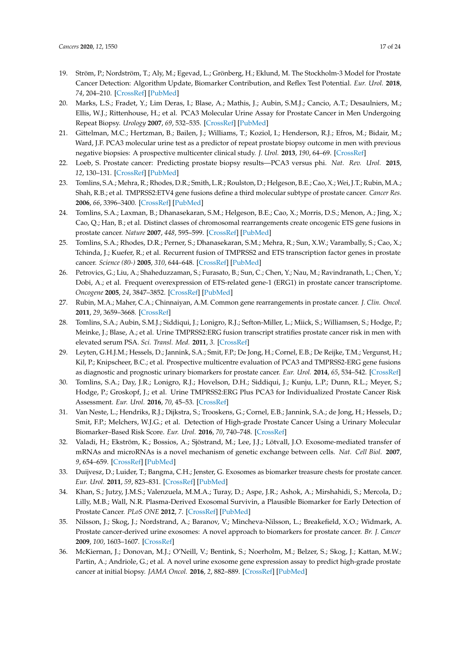- <span id="page-16-0"></span>19. Ström, P.; Nordström, T.; Aly, M.; Egevad, L.; Grönberg, H.; Eklund, M. The Stockholm-3 Model for Prostate Cancer Detection: Algorithm Update, Biomarker Contribution, and Reflex Test Potential. *Eur. Urol.* **2018**, *74*, 204–210. [\[CrossRef\]](http://dx.doi.org/10.1016/j.eururo.2017.12.028) [\[PubMed\]](http://www.ncbi.nlm.nih.gov/pubmed/29331214)
- <span id="page-16-1"></span>20. Marks, L.S.; Fradet, Y.; Lim Deras, I.; Blase, A.; Mathis, J.; Aubin, S.M.J.; Cancio, A.T.; Desaulniers, M.; Ellis, W.J.; Rittenhouse, H.; et al. PCA3 Molecular Urine Assay for Prostate Cancer in Men Undergoing Repeat Biopsy. *Urology* **2007**, *69*, 532–535. [\[CrossRef\]](http://dx.doi.org/10.1016/j.urology.2006.12.014) [\[PubMed\]](http://www.ncbi.nlm.nih.gov/pubmed/17382159)
- <span id="page-16-2"></span>21. Gittelman, M.C.; Hertzman, B.; Bailen, J.; Williams, T.; Koziol, I.; Henderson, R.J.; Efros, M.; Bidair, M.; Ward, J.F. PCA3 molecular urine test as a predictor of repeat prostate biopsy outcome in men with previous negative biopsies: A prospective multicenter clinical study. *J. Urol.* **2013**, *190*, 64–69. [\[CrossRef\]](http://dx.doi.org/10.1016/j.juro.2013.02.018)
- <span id="page-16-3"></span>22. Loeb, S. Prostate cancer: Predicting prostate biopsy results—PCA3 versus phi. *Nat. Rev. Urol.* **2015**, *12*, 130–131. [\[CrossRef\]](http://dx.doi.org/10.1038/nrurol.2015.1) [\[PubMed\]](http://www.ncbi.nlm.nih.gov/pubmed/25644161)
- <span id="page-16-4"></span>23. Tomlins, S.A.; Mehra, R.; Rhodes, D.R.; Smith, L.R.; Roulston, D.; Helgeson, B.E.; Cao, X.; Wei, J.T.; Rubin, M.A.; Shah, R.B.; et al. TMPRSS2:ETV4 gene fusions define a third molecular subtype of prostate cancer. *Cancer Res.* **2006**, *66*, 3396–3400. [\[CrossRef\]](http://dx.doi.org/10.1158/0008-5472.CAN-06-0168) [\[PubMed\]](http://www.ncbi.nlm.nih.gov/pubmed/16585160)
- 24. Tomlins, S.A.; Laxman, B.; Dhanasekaran, S.M.; Helgeson, B.E.; Cao, X.; Morris, D.S.; Menon, A.; Jing, X.; Cao, Q.; Han, B.; et al. Distinct classes of chromosomal rearrangements create oncogenic ETS gene fusions in prostate cancer. *Nature* **2007**, *448*, 595–599. [\[CrossRef\]](http://dx.doi.org/10.1038/nature06024) [\[PubMed\]](http://www.ncbi.nlm.nih.gov/pubmed/17671502)
- <span id="page-16-5"></span>25. Tomlins, S.A.; Rhodes, D.R.; Perner, S.; Dhanasekaran, S.M.; Mehra, R.; Sun, X.W.; Varambally, S.; Cao, X.; Tchinda, J.; Kuefer, R.; et al. Recurrent fusion of TMPRSS2 and ETS transcription factor genes in prostate cancer. *Science (80-)* **2005**, *310*, 644–648. [\[CrossRef\]](http://dx.doi.org/10.1126/science.1117679) [\[PubMed\]](http://www.ncbi.nlm.nih.gov/pubmed/16254181)
- <span id="page-16-6"></span>26. Petrovics, G.; Liu, A.; Shaheduzzaman, S.; Furasato, B.; Sun, C.; Chen, Y.; Nau, M.; Ravindranath, L.; Chen, Y.; Dobi, A.; et al. Frequent overexpression of ETS-related gene-1 (ERG1) in prostate cancer transcriptome. *Oncogene* **2005**, *24*, 3847–3852. [\[CrossRef\]](http://dx.doi.org/10.1038/sj.onc.1208518) [\[PubMed\]](http://www.ncbi.nlm.nih.gov/pubmed/15750627)
- <span id="page-16-7"></span>27. Rubin, M.A.; Maher, C.A.; Chinnaiyan, A.M. Common gene rearrangements in prostate cancer. *J. Clin. Oncol.* **2011**, *29*, 3659–3668. [\[CrossRef\]](http://dx.doi.org/10.1200/JCO.2011.35.1916)
- <span id="page-16-8"></span>28. Tomlins, S.A.; Aubin, S.M.J.; Siddiqui, J.; Lonigro, R.J.; Sefton-Miller, L.; Miick, S.; Williamsen, S.; Hodge, P.; Meinke, J.; Blase, A.; et al. Urine TMPRSS2:ERG fusion transcript stratifies prostate cancer risk in men with elevated serum PSA. *Sci. Transl. Med.* **2011**, *3*. [\[CrossRef\]](http://dx.doi.org/10.1126/scitranslmed.3001970)
- <span id="page-16-9"></span>29. Leyten, G.H.J.M.; Hessels, D.; Jannink, S.A.; Smit, F.P.; De Jong, H.; Cornel, E.B.; De Reijke, T.M.; Vergunst, H.; Kil, P.; Knipscheer, B.C.; et al. Prospective multicentre evaluation of PCA3 and TMPRSS2-ERG gene fusions as diagnostic and prognostic urinary biomarkers for prostate cancer. *Eur. Urol.* **2014**, *65*, 534–542. [\[CrossRef\]](http://dx.doi.org/10.1016/j.eururo.2012.11.014)
- <span id="page-16-10"></span>30. Tomlins, S.A.; Day, J.R.; Lonigro, R.J.; Hovelson, D.H.; Siddiqui, J.; Kunju, L.P.; Dunn, R.L.; Meyer, S.; Hodge, P.; Groskopf, J.; et al. Urine TMPRSS2:ERG Plus PCA3 for Individualized Prostate Cancer Risk Assessment. *Eur. Urol.* **2016**, *70*, 45–53. [\[CrossRef\]](http://dx.doi.org/10.1016/j.eururo.2015.04.039)
- <span id="page-16-11"></span>31. Van Neste, L.; Hendriks, R.J.; Dijkstra, S.; Trooskens, G.; Cornel, E.B.; Jannink, S.A.; de Jong, H.; Hessels, D.; Smit, F.P.; Melchers, W.J.G.; et al. Detection of High-grade Prostate Cancer Using a Urinary Molecular Biomarker–Based Risk Score. *Eur. Urol.* **2016**, *70*, 740–748. [\[CrossRef\]](http://dx.doi.org/10.1016/j.eururo.2016.04.012)
- <span id="page-16-12"></span>32. Valadi, H.; Ekström, K.; Bossios, A.; Sjöstrand, M.; Lee, J.J.; Lötvall, J.O. Exosome-mediated transfer of mRNAs and microRNAs is a novel mechanism of genetic exchange between cells. *Nat. Cell Biol.* **2007**, *9*, 654–659. [\[CrossRef\]](http://dx.doi.org/10.1038/ncb1596) [\[PubMed\]](http://www.ncbi.nlm.nih.gov/pubmed/17486113)
- <span id="page-16-13"></span>33. Duijvesz, D.; Luider, T.; Bangma, C.H.; Jenster, G. Exosomes as biomarker treasure chests for prostate cancer. *Eur. Urol.* **2011**, *59*, 823–831. [\[CrossRef\]](http://dx.doi.org/10.1016/j.eururo.2010.12.031) [\[PubMed\]](http://www.ncbi.nlm.nih.gov/pubmed/21196075)
- <span id="page-16-14"></span>34. Khan, S.; Jutzy, J.M.S.; Valenzuela, M.M.A.; Turay, D.; Aspe, J.R.; Ashok, A.; Mirshahidi, S.; Mercola, D.; Lilly, M.B.; Wall, N.R. Plasma-Derived Exosomal Survivin, a Plausible Biomarker for Early Detection of Prostate Cancer. *PLoS ONE* **2012**, *7*. [\[CrossRef\]](http://dx.doi.org/10.1371/journal.pone.0046737) [\[PubMed\]](http://www.ncbi.nlm.nih.gov/pubmed/23091600)
- <span id="page-16-15"></span>35. Nilsson, J.; Skog, J.; Nordstrand, A.; Baranov, V.; Mincheva-Nilsson, L.; Breakefield, X.O.; Widmark, A. Prostate cancer-derived urine exosomes: A novel approach to biomarkers for prostate cancer. *Br. J. Cancer* **2009**, *100*, 1603–1607. [\[CrossRef\]](http://dx.doi.org/10.1038/sj.bjc.6605058)
- <span id="page-16-16"></span>36. McKiernan, J.; Donovan, M.J.; O'Neill, V.; Bentink, S.; Noerholm, M.; Belzer, S.; Skog, J.; Kattan, M.W.; Partin, A.; Andriole, G.; et al. A novel urine exosome gene expression assay to predict high-grade prostate cancer at initial biopsy. *JAMA Oncol.* **2016**, *2*, 882–889. [\[CrossRef\]](http://dx.doi.org/10.1001/jamaoncol.2016.0097) [\[PubMed\]](http://www.ncbi.nlm.nih.gov/pubmed/27032035)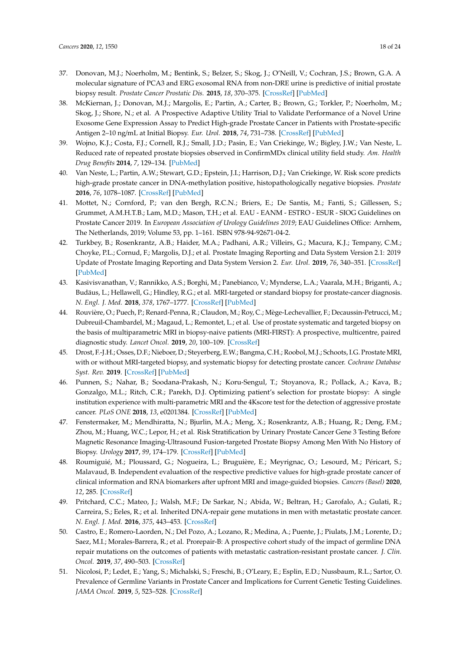- <span id="page-17-0"></span>37. Donovan, M.J.; Noerholm, M.; Bentink, S.; Belzer, S.; Skog, J.; O'Neill, V.; Cochran, J.S.; Brown, G.A. A molecular signature of PCA3 and ERG exosomal RNA from non-DRE urine is predictive of initial prostate biopsy result. *Prostate Cancer Prostatic Dis.* **2015**, *18*, 370–375. [\[CrossRef\]](http://dx.doi.org/10.1038/pcan.2015.40) [\[PubMed\]](http://www.ncbi.nlm.nih.gov/pubmed/26345389)
- <span id="page-17-1"></span>38. McKiernan, J.; Donovan, M.J.; Margolis, E.; Partin, A.; Carter, B.; Brown, G.; Torkler, P.; Noerholm, M.; Skog, J.; Shore, N.; et al. A Prospective Adaptive Utility Trial to Validate Performance of a Novel Urine Exosome Gene Expression Assay to Predict High-grade Prostate Cancer in Patients with Prostate-specific Antigen 2–10 ng/mL at Initial Biopsy. *Eur. Urol.* **2018**, *74*, 731–738. [\[CrossRef\]](http://dx.doi.org/10.1016/j.eururo.2018.08.019) [\[PubMed\]](http://www.ncbi.nlm.nih.gov/pubmed/30237023)
- <span id="page-17-2"></span>39. Wojno, K.J.; Costa, F.J.; Cornell, R.J.; Small, J.D.; Pasin, E.; Van Criekinge, W.; Bigley, J.W.; Van Neste, L. Reduced rate of repeated prostate biopsies observed in ConfirmMDx clinical utility field study. *Am. Health Drug Benefits* **2014**, *7*, 129–134. [\[PubMed\]](http://www.ncbi.nlm.nih.gov/pubmed/24991397)
- <span id="page-17-3"></span>40. Van Neste, L.; Partin, A.W.; Stewart, G.D.; Epstein, J.I.; Harrison, D.J.; Van Criekinge, W. Risk score predicts high-grade prostate cancer in DNA-methylation positive, histopathologically negative biopsies. *Prostate* **2016**, *76*, 1078–1087. [\[CrossRef\]](http://dx.doi.org/10.1002/pros.23191) [\[PubMed\]](http://www.ncbi.nlm.nih.gov/pubmed/27121847)
- <span id="page-17-4"></span>41. Mottet, N.; Cornford, P.; van den Bergh, R.C.N.; Briers, E.; De Santis, M.; Fanti, S.; Gillessen, S.; Grummet, A.M.H.T.B.; Lam, M.D.; Mason, T.H.; et al. EAU - EANM - ESTRO - ESUR - SIOG Guidelines on Prostate Cancer 2019. In *European Association of Urology Guidelines 2019*; EAU Guidelines Office: Arnhem, The Netherlands, 2019; Volume 53, pp. 1–161. ISBN 978-94-92671-04-2.
- <span id="page-17-5"></span>42. Turkbey, B.; Rosenkrantz, A.B.; Haider, M.A.; Padhani, A.R.; Villeirs, G.; Macura, K.J.; Tempany, C.M.; Choyke, P.L.; Cornud, F.; Margolis, D.J.; et al. Prostate Imaging Reporting and Data System Version 2.1: 2019 Update of Prostate Imaging Reporting and Data System Version 2. *Eur. Urol.* **2019**, *76*, 340–351. [\[CrossRef\]](http://dx.doi.org/10.1016/j.eururo.2019.02.033) [\[PubMed\]](http://www.ncbi.nlm.nih.gov/pubmed/30898406)
- <span id="page-17-6"></span>43. Kasivisvanathan, V.; Rannikko, A.S.; Borghi, M.; Panebianco, V.; Mynderse, L.A.; Vaarala, M.H.; Briganti, A.; Budäus, L.; Hellawell, G.; Hindley, R.G.; et al. MRI-targeted or standard biopsy for prostate-cancer diagnosis. *N. Engl. J. Med.* **2018**, *378*, 1767–1777. [\[CrossRef\]](http://dx.doi.org/10.1056/NEJMoa1801993) [\[PubMed\]](http://www.ncbi.nlm.nih.gov/pubmed/29552975)
- <span id="page-17-7"></span>44. Rouvière, O.; Puech, P.; Renard-Penna, R.; Claudon, M.; Roy, C.; Mège-Lechevallier, F.; Decaussin-Petrucci, M.; Dubreuil-Chambardel, M.; Magaud, L.; Remontet, L.; et al. Use of prostate systematic and targeted biopsy on the basis of multiparametric MRI in biopsy-naive patients (MRI-FIRST): A prospective, multicentre, paired diagnostic study. *Lancet Oncol.* **2019**, *20*, 100–109. [\[CrossRef\]](http://dx.doi.org/10.1016/S1470-2045(18)30569-2)
- <span id="page-17-8"></span>45. Drost, F.-J.H.; Osses, D.F.; Nieboer, D.; Steyerberg, E.W.; Bangma, C.H.; Roobol, M.J.; Schoots, I.G. Prostate MRI, with or without MRI-targeted biopsy, and systematic biopsy for detecting prostate cancer. *Cochrane Database Syst. Rev.* **2019**. [\[CrossRef\]](http://dx.doi.org/10.1002/14651858.CD012663.pub2) [\[PubMed\]](http://www.ncbi.nlm.nih.gov/pubmed/31022301)
- <span id="page-17-9"></span>46. Punnen, S.; Nahar, B.; Soodana-Prakash, N.; Koru-Sengul, T.; Stoyanova, R.; Pollack, A.; Kava, B.; Gonzalgo, M.L.; Ritch, C.R.; Parekh, D.J. Optimizing patient's selection for prostate biopsy: A single institution experience with multi-parametric MRI and the 4Kscore test for the detection of aggressive prostate cancer. *PLoS ONE* **2018**, *13*, e0201384. [\[CrossRef\]](http://dx.doi.org/10.1371/journal.pone.0201384) [\[PubMed\]](http://www.ncbi.nlm.nih.gov/pubmed/30092002)
- <span id="page-17-10"></span>47. Fenstermaker, M.; Mendhiratta, N.; Bjurlin, M.A.; Meng, X.; Rosenkrantz, A.B.; Huang, R.; Deng, F.M.; Zhou, M.; Huang, W.C.; Lepor, H.; et al. Risk Stratification by Urinary Prostate Cancer Gene 3 Testing Before Magnetic Resonance Imaging-Ultrasound Fusion-targeted Prostate Biopsy Among Men With No History of Biopsy. *Urology* **2017**, *99*, 174–179. [\[CrossRef\]](http://dx.doi.org/10.1016/j.urology.2016.08.022) [\[PubMed\]](http://www.ncbi.nlm.nih.gov/pubmed/27562202)
- <span id="page-17-11"></span>48. Roumiguié, M.; Ploussard, G.; Nogueira, L.; Bruguière, E.; Meyrignac, O.; Lesourd, M.; Péricart, S.; Malavaud, B. Independent evaluation of the respective predictive values for high-grade prostate cancer of clinical information and RNA biomarkers after upfront MRI and image-guided biopsies. *Cancers (Basel)* **2020**, *12*, 285. [\[CrossRef\]](http://dx.doi.org/10.3390/cancers12020285)
- <span id="page-17-12"></span>49. Pritchard, C.C.; Mateo, J.; Walsh, M.F.; De Sarkar, N.; Abida, W.; Beltran, H.; Garofalo, A.; Gulati, R.; Carreira, S.; Eeles, R.; et al. Inherited DNA-repair gene mutations in men with metastatic prostate cancer. *N. Engl. J. Med.* **2016**, *375*, 443–453. [\[CrossRef\]](http://dx.doi.org/10.1056/NEJMoa1603144)
- <span id="page-17-14"></span>50. Castro, E.; Romero-Laorden, N.; Del Pozo, A.; Lozano, R.; Medina, A.; Puente, J.; Piulats, J.M.; Lorente, D.; Saez, M.I.; Morales-Barrera, R.; et al. Prorepair-B: A prospective cohort study of the impact of germline DNA repair mutations on the outcomes of patients with metastatic castration-resistant prostate cancer. *J. Clin. Oncol.* **2019**, *37*, 490–503. [\[CrossRef\]](http://dx.doi.org/10.1200/JCO.18.00358)
- <span id="page-17-13"></span>51. Nicolosi, P.; Ledet, E.; Yang, S.; Michalski, S.; Freschi, B.; O'Leary, E.; Esplin, E.D.; Nussbaum, R.L.; Sartor, O. Prevalence of Germline Variants in Prostate Cancer and Implications for Current Genetic Testing Guidelines. *JAMA Oncol.* **2019**, *5*, 523–528. [\[CrossRef\]](http://dx.doi.org/10.1001/jamaoncol.2018.6760)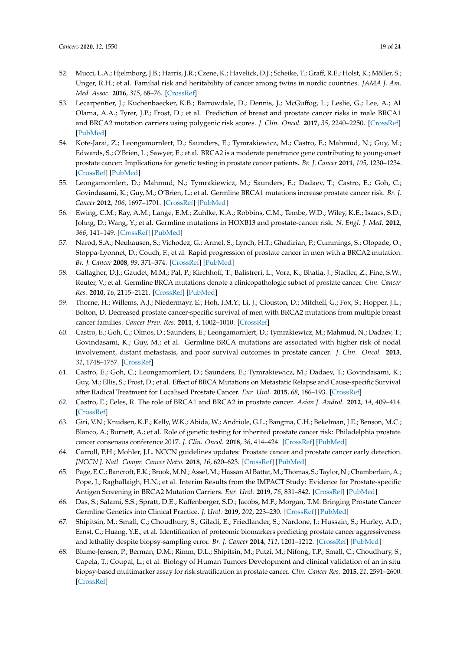- <span id="page-18-21"></span><span id="page-18-0"></span>52. Mucci, L.A.; Hjelmborg, J.B.; Harris, J.R.; Czene, K.; Havelick, D.J.; Scheike, T.; Graff, R.E.; Holst, K.; Möller, S.; Unger, R.H.; et al. Familial risk and heritability of cancer among twins in nordic countries. *JAMA J. Am. Med. Assoc.* **2016**, *315*, 68–76. [\[CrossRef\]](http://dx.doi.org/10.1001/jama.2015.17703)
- <span id="page-18-18"></span><span id="page-18-1"></span>53. Lecarpentier, J.; Kuchenbaecker, K.B.; Barrowdale, D.; Dennis, J.; McGuffog, L.; Leslie, G.; Lee, A.; Al Olama, A.A.; Tyrer, J.P.; Frost, D.; et al. Prediction of breast and prostate cancer risks in male BRCA1 and BRCA2 mutation carriers using polygenic risk scores. *J. Clin. Oncol.* **2017**, *35*, 2240–2250. [\[CrossRef\]](http://dx.doi.org/10.1200/JCO.2016.69.4935) [\[PubMed\]](http://www.ncbi.nlm.nih.gov/pubmed/28448241)
- <span id="page-18-2"></span>54. Kote-Jarai, Z.; Leongamornlert, D.; Saunders, E.; Tymrakiewicz, M.; Castro, E.; Mahmud, N.; Guy, M.; Edwards, S.; O'Brien, L.; Sawyer, E.; et al. BRCA2 is a moderate penetrance gene contributing to young-onset prostate cancer: Implications for genetic testing in prostate cancer patients. *Br. J. Cancer* **2011**, *105*, 1230–1234. [\[CrossRef\]](http://dx.doi.org/10.1038/bjc.2011.383) [\[PubMed\]](http://www.ncbi.nlm.nih.gov/pubmed/21952622)
- <span id="page-18-15"></span><span id="page-18-3"></span>55. Leongamornlert, D.; Mahmud, N.; Tymrakiewicz, M.; Saunders, E.; Dadaev, T.; Castro, E.; Goh, C.; Govindasami, K.; Guy, M.; O'Brien, L.; et al. Germline BRCA1 mutations increase prostate cancer risk. *Br. J. Cancer* **2012**, *106*, 1697–1701. [\[CrossRef\]](http://dx.doi.org/10.1038/bjc.2012.146) [\[PubMed\]](http://www.ncbi.nlm.nih.gov/pubmed/22516946)
- <span id="page-18-19"></span><span id="page-18-4"></span>56. Ewing, C.M.; Ray, A.M.; Lange, E.M.; Zuhlke, K.A.; Robbins, C.M.; Tembe, W.D.; Wiley, K.E.; Isaacs, S.D.; Johng, D.; Wang, Y.; et al. Germline mutations in HOXB13 and prostate-cancer risk. *N. Engl. J. Med.* **2012**, *366*, 141–149. [\[CrossRef\]](http://dx.doi.org/10.1056/NEJMoa1110000) [\[PubMed\]](http://www.ncbi.nlm.nih.gov/pubmed/22236224)
- <span id="page-18-17"></span><span id="page-18-5"></span>57. Narod, S.A.; Neuhausen, S.; Vichodez, G.; Armel, S.; Lynch, H.T.; Ghadirian, P.; Cummings, S.; Olopade, O.; Stoppa-Lyonnet, D.; Couch, F.; et al. Rapid progression of prostate cancer in men with a BRCA2 mutation. *Br. J. Cancer* **2008**, *99*, 371–374. [\[CrossRef\]](http://dx.doi.org/10.1038/sj.bjc.6604453) [\[PubMed\]](http://www.ncbi.nlm.nih.gov/pubmed/18577985)
- 58. Gallagher, D.J.; Gaudet, M.M.; Pal, P.; Kirchhoff, T.; Balistreri, L.; Vora, K.; Bhatia, J.; Stadler, Z.; Fine, S.W.; Reuter, V.; et al. Germline BRCA mutations denote a clinicopathologic subset of prostate cancer. *Clin. Cancer Res.* **2010**, *16*, 2115–2121. [\[CrossRef\]](http://dx.doi.org/10.1158/1078-0432.CCR-09-2871) [\[PubMed\]](http://www.ncbi.nlm.nih.gov/pubmed/20215531)
- <span id="page-18-20"></span>59. Thorne, H.; Willems, A.J.; Niedermayr, E.; Hoh, I.M.Y.; Li, J.; Clouston, D.; Mitchell, G.; Fox, S.; Hopper, J.L.; Bolton, D. Decreased prostate cancer-specific survival of men with BRCA2 mutations from multiple breast cancer families. *Cancer Prev. Res.* **2011**, *4*, 1002–1010. [\[CrossRef\]](http://dx.doi.org/10.1158/1940-6207.CAPR-10-0397)
- <span id="page-18-16"></span><span id="page-18-8"></span>60. Castro, E.; Goh, C.; Olmos, D.; Saunders, E.; Leongamornlert, D.; Tymrakiewicz, M.; Mahmud, N.; Dadaev, T.; Govindasami, K.; Guy, M.; et al. Germline BRCA mutations are associated with higher risk of nodal involvement, distant metastasis, and poor survival outcomes in prostate cancer. *J. Clin. Oncol.* **2013**, *31*, 1748–1757. [\[CrossRef\]](http://dx.doi.org/10.1200/JCO.2012.43.1882)
- <span id="page-18-6"></span>61. Castro, E.; Goh, C.; Leongamornlert, D.; Saunders, E.; Tymrakiewicz, M.; Dadaev, T.; Govindasami, K.; Guy, M.; Ellis, S.; Frost, D.; et al. Effect of BRCA Mutations on Metastatic Relapse and Cause-specific Survival after Radical Treatment for Localised Prostate Cancer. *Eur. Urol.* **2015**, *68*, 186–193. [\[CrossRef\]](http://dx.doi.org/10.1016/j.eururo.2014.10.022)
- <span id="page-18-7"></span>62. Castro, E.; Eeles, R. The role of BRCA1 and BRCA2 in prostate cancer. *Asian J. Androl.* **2012**, *14*, 409–414. [\[CrossRef\]](http://dx.doi.org/10.1038/aja.2011.150)
- <span id="page-18-9"></span>63. Giri, V.N.; Knudsen, K.E.; Kelly, W.K.; Abida, W.; Andriole, G.L.; Bangma, C.H.; Bekelman, J.E.; Benson, M.C.; Blanco, A.; Burnett, A.; et al. Role of genetic testing for inherited prostate cancer risk: Philadelphia prostate cancer consensus conference 2017. *J. Clin. Oncol.* **2018**, *36*, 414–424. [\[CrossRef\]](http://dx.doi.org/10.1200/JCO.2017.74.1173) [\[PubMed\]](http://www.ncbi.nlm.nih.gov/pubmed/29236593)
- <span id="page-18-10"></span>64. Carroll, P.H.; Mohler, J.L. NCCN guidelines updates: Prostate cancer and prostate cancer early detection. *JNCCN J. Natl. Compr. Cancer Netw.* **2018**, *16*, 620–623. [\[CrossRef\]](http://dx.doi.org/10.6004/jnccn.2018.0036) [\[PubMed\]](http://www.ncbi.nlm.nih.gov/pubmed/29784740)
- <span id="page-18-11"></span>65. Page, E.C.; Bancroft, E.K.; Brook, M.N.; Assel, M.; Hassan Al Battat, M.; Thomas, S.; Taylor, N.; Chamberlain, A.; Pope, J.; Raghallaigh, H.N.; et al. Interim Results from the IMPACT Study: Evidence for Prostate-specific Antigen Screening in BRCA2 Mutation Carriers. *Eur. Urol.* **2019**, *76*, 831–842. [\[CrossRef\]](http://dx.doi.org/10.1016/j.eururo.2019.08.019) [\[PubMed\]](http://www.ncbi.nlm.nih.gov/pubmed/31537406)
- <span id="page-18-12"></span>66. Das, S.; Salami, S.S.; Spratt, D.E.; Kaffenberger, S.D.; Jacobs, M.F.; Morgan, T.M. Bringing Prostate Cancer Germline Genetics into Clinical Practice. *J. Urol.* **2019**, *202*, 223–230. [\[CrossRef\]](http://dx.doi.org/10.1097/JU.0000000000000137) [\[PubMed\]](http://www.ncbi.nlm.nih.gov/pubmed/30730411)
- <span id="page-18-13"></span>67. Shipitsin, M.; Small, C.; Choudhury, S.; Giladi, E.; Friedlander, S.; Nardone, J.; Hussain, S.; Hurley, A.D.; Ernst, C.; Huang, Y.E.; et al. Identification of proteomic biomarkers predicting prostate cancer aggressiveness and lethality despite biopsy-sampling error. *Br. J. Cancer* **2014**, *111*, 1201–1212. [\[CrossRef\]](http://dx.doi.org/10.1038/bjc.2014.396) [\[PubMed\]](http://www.ncbi.nlm.nih.gov/pubmed/25032733)
- <span id="page-18-14"></span>68. Blume-Jensen, P.; Berman, D.M.; Rimm, D.L.; Shipitsin, M.; Putzi, M.; Nifong, T.P.; Small, C.; Choudhury, S.; Capela, T.; Coupal, L.; et al. Biology of Human Tumors Development and clinical validation of an in situ biopsy-based multimarker assay for risk stratification in prostate cancer. *Clin. Cancer Res.* **2015**, *21*, 2591–2600. [\[CrossRef\]](http://dx.doi.org/10.1158/1078-0432.CCR-14-2603)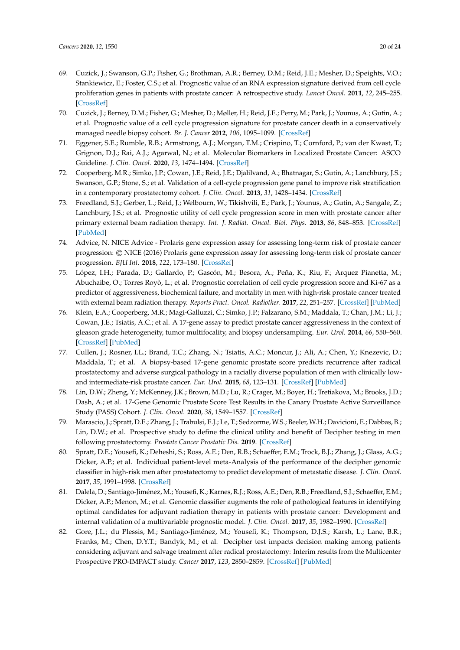- <span id="page-19-17"></span><span id="page-19-16"></span><span id="page-19-15"></span><span id="page-19-14"></span><span id="page-19-0"></span>69. Cuzick, J.; Swanson, G.P.; Fisher, G.; Brothman, A.R.; Berney, D.M.; Reid, J.E.; Mesher, D.; Speights, V.O.; Stankiewicz, E.; Foster, C.S.; et al. Prognostic value of an RNA expression signature derived from cell cycle proliferation genes in patients with prostate cancer: A retrospective study. *Lancet Oncol.* **2011**, *12*, 245–255. [\[CrossRef\]](http://dx.doi.org/10.1016/S1470-2045(10)70295-3)
- <span id="page-19-18"></span><span id="page-19-1"></span>70. Cuzick, J.; Berney, D.M.; Fisher, G.; Mesher, D.; Møller, H.; Reid, J.E.; Perry, M.; Park, J.; Younus, A.; Gutin, A.; et al. Prognostic value of a cell cycle progression signature for prostate cancer death in a conservatively managed needle biopsy cohort. *Br. J. Cancer* **2012**, *106*, 1095–1099. [\[CrossRef\]](http://dx.doi.org/10.1038/bjc.2012.39)
- <span id="page-19-2"></span>71. Eggener, S.E.; Rumble, R.B.; Armstrong, A.J.; Morgan, T.M.; Crispino, T.; Cornford, P.; van der Kwast, T.; Grignon, D.J.; Rai, A.J.; Agarwal, N.; et al. Molecular Biomarkers in Localized Prostate Cancer: ASCO Guideline. *J. Clin. Oncol.* **2020**, *13*, 1474–1494. [\[CrossRef\]](http://dx.doi.org/10.1200/JCO.19.02768)
- <span id="page-19-3"></span>72. Cooperberg, M.R.; Simko, J.P.; Cowan, J.E.; Reid, J.E.; Djalilvand, A.; Bhatnagar, S.; Gutin, A.; Lanchbury, J.S.; Swanson, G.P.; Stone, S.; et al. Validation of a cell-cycle progression gene panel to improve risk stratification in a contemporary prostatectomy cohort. *J. Clin. Oncol.* **2013**, *31*, 1428–1434. [\[CrossRef\]](http://dx.doi.org/10.1200/JCO.2012.46.4396)
- <span id="page-19-19"></span><span id="page-19-4"></span>73. Freedland, S.J.; Gerber, L.; Reid, J.; Welbourn, W.; Tikishvili, E.; Park, J.; Younus, A.; Gutin, A.; Sangale, Z.; Lanchbury, J.S.; et al. Prognostic utility of cell cycle progression score in men with prostate cancer after primary external beam radiation therapy. *Int. J. Radiat. Oncol. Biol. Phys.* **2013**, *86*, 848–853. [\[CrossRef\]](http://dx.doi.org/10.1016/j.ijrobp.2013.04.043) [\[PubMed\]](http://www.ncbi.nlm.nih.gov/pubmed/23755923)
- <span id="page-19-5"></span>74. Advice, N. NICE Advice - Prolaris gene expression assay for assessing long-term risk of prostate cancer progression: © NICE (2016) Prolaris gene expression assay for assessing long-term risk of prostate cancer progression. *BJU Int.* **2018**, *122*, 173–180. [\[CrossRef\]](http://dx.doi.org/10.1111/bju.14452)
- <span id="page-19-6"></span>75. López, I.H.; Parada, D.; Gallardo, P.; Gascón, M.; Besora, A.; Peña, K.; Riu, F.; Arquez Pianetta, M.; Abuchaibe, O.; Torres Royò, L.; et al. Prognostic correlation of cell cycle progression score and Ki-67 as a predictor of aggressiveness, biochemical failure, and mortality in men with high-risk prostate cancer treated with external beam radiation therapy. *Reports Pract. Oncol. Radiother.* **2017**, *22*, 251–257. [\[CrossRef\]](http://dx.doi.org/10.1016/j.rpor.2017.02.003) [\[PubMed\]](http://www.ncbi.nlm.nih.gov/pubmed/28479874)
- <span id="page-19-7"></span>76. Klein, E.A.; Cooperberg, M.R.; Magi-Galluzzi, C.; Simko, J.P.; Falzarano, S.M.; Maddala, T.; Chan, J.M.; Li, J.; Cowan, J.E.; Tsiatis, A.C.; et al. A 17-gene assay to predict prostate cancer aggressiveness in the context of gleason grade heterogeneity, tumor multifocality, and biopsy undersampling. *Eur. Urol.* **2014**, *66*, 550–560. [\[CrossRef\]](http://dx.doi.org/10.1016/j.eururo.2014.05.004) [\[PubMed\]](http://www.ncbi.nlm.nih.gov/pubmed/24836057)
- <span id="page-19-8"></span>77. Cullen, J.; Rosner, I.L.; Brand, T.C.; Zhang, N.; Tsiatis, A.C.; Moncur, J.; Ali, A.; Chen, Y.; Knezevic, D.; Maddala, T.; et al. A biopsy-based 17-gene genomic prostate score predicts recurrence after radical prostatectomy and adverse surgical pathology in a racially diverse population of men with clinically lowand intermediate-risk prostate cancer. *Eur. Urol.* **2015**, *68*, 123–131. [\[CrossRef\]](http://dx.doi.org/10.1016/j.eururo.2014.11.030) [\[PubMed\]](http://www.ncbi.nlm.nih.gov/pubmed/25465337)
- <span id="page-19-9"></span>78. Lin, D.W.; Zheng, Y.; McKenney, J.K.; Brown, M.D.; Lu, R.; Crager, M.; Boyer, H.; Tretiakova, M.; Brooks, J.D.; Dash, A.; et al. 17-Gene Genomic Prostate Score Test Results in the Canary Prostate Active Surveillance Study (PASS) Cohort. *J. Clin. Oncol.* **2020**, *38*, 1549–1557. [\[CrossRef\]](http://dx.doi.org/10.1200/JCO.19.02267)
- <span id="page-19-10"></span>79. Marascio, J.; Spratt, D.E.; Zhang, J.; Trabulsi, E.J.; Le, T.; Sedzorme, W.S.; Beeler, W.H.; Davicioni, E.; Dabbas, B.; Lin, D.W.; et al. Prospective study to define the clinical utility and benefit of Decipher testing in men following prostatectomy. *Prostate Cancer Prostatic Dis.* **2019**. [\[CrossRef\]](http://dx.doi.org/10.1038/s41391-019-0185-7)
- <span id="page-19-12"></span>80. Spratt, D.E.; Yousefi, K.; Deheshi, S.; Ross, A.E.; Den, R.B.; Schaeffer, E.M.; Trock, B.J.; Zhang, J.; Glass, A.G.; Dicker, A.P.; et al. Individual patient-level meta-Analysis of the performance of the decipher genomic classifier in high-risk men after prostatectomy to predict development of metastatic disease. *J. Clin. Oncol.* **2017**, *35*, 1991–1998. [\[CrossRef\]](http://dx.doi.org/10.1200/JCO.2016.70.2811)
- <span id="page-19-13"></span>81. Dalela, D.; Santiago-Jiménez, M.; Yousefi, K.; Karnes, R.J.; Ross, A.E.; Den, R.B.; Freedland, S.J.; Schaeffer, E.M.; Dicker, A.P.; Menon, M.; et al. Genomic classifier augments the role of pathological features in identifying optimal candidates for adjuvant radiation therapy in patients with prostate cancer: Development and internal validation of a multivariable prognostic model. *J. Clin. Oncol.* **2017**, *35*, 1982–1990. [\[CrossRef\]](http://dx.doi.org/10.1200/JCO.2016.69.9918)
- <span id="page-19-11"></span>82. Gore, J.L.; du Plessis, M.; Santiago-Jiménez, M.; Yousefi, K.; Thompson, D.J.S.; Karsh, L.; Lane, B.R.; Franks, M.; Chen, D.Y.T.; Bandyk, M.; et al. Decipher test impacts decision making among patients considering adjuvant and salvage treatment after radical prostatectomy: Interim results from the Multicenter Prospective PRO-IMPACT study. *Cancer* **2017**, *123*, 2850–2859. [\[CrossRef\]](http://dx.doi.org/10.1002/cncr.30665) [\[PubMed\]](http://www.ncbi.nlm.nih.gov/pubmed/28422278)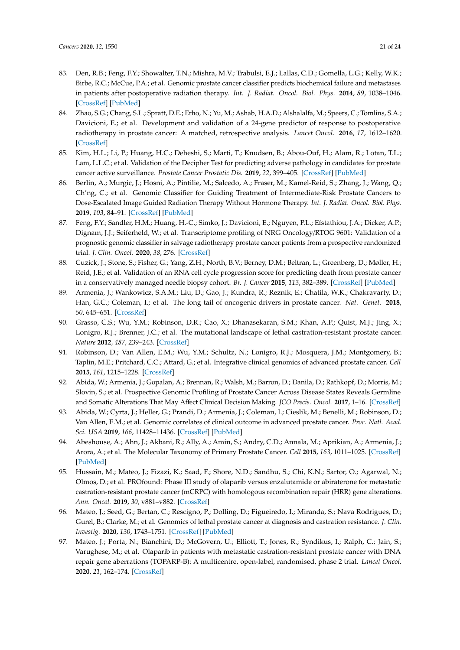- <span id="page-20-0"></span>83. Den, R.B.; Feng, F.Y.; Showalter, T.N.; Mishra, M.V.; Trabulsi, E.J.; Lallas, C.D.; Gomella, L.G.; Kelly, W.K.; Birbe, R.C.; McCue, P.A.; et al. Genomic prostate cancer classifier predicts biochemical failure and metastases in patients after postoperative radiation therapy. *Int. J. Radiat. Oncol. Biol. Phys.* **2014**, *89*, 1038–1046. [\[CrossRef\]](http://dx.doi.org/10.1016/j.ijrobp.2014.04.052) [\[PubMed\]](http://www.ncbi.nlm.nih.gov/pubmed/25035207)
- <span id="page-20-1"></span>84. Zhao, S.G.; Chang, S.L.; Spratt, D.E.; Erho, N.; Yu, M.; Ashab, H.A.D.; Alshalalfa, M.; Speers, C.; Tomlins, S.A.; Davicioni, E.; et al. Development and validation of a 24-gene predictor of response to postoperative radiotherapy in prostate cancer: A matched, retrospective analysis. *Lancet Oncol.* **2016**, *17*, 1612–1620. [\[CrossRef\]](http://dx.doi.org/10.1016/S1470-2045(16)30491-0)
- 85. Kim, H.L.; Li, P.; Huang, H.C.; Deheshi, S.; Marti, T.; Knudsen, B.; Abou-Ouf, H.; Alam, R.; Lotan, T.L.; Lam, L.L.C.; et al. Validation of the Decipher Test for predicting adverse pathology in candidates for prostate cancer active surveillance. *Prostate Cancer Prostatic Dis.* **2019**, *22*, 399–405. [\[CrossRef\]](http://dx.doi.org/10.1038/s41391-018-0101-6) [\[PubMed\]](http://www.ncbi.nlm.nih.gov/pubmed/30542054)
- <span id="page-20-2"></span>86. Berlin, A.; Murgic, J.; Hosni, A.; Pintilie, M.; Salcedo, A.; Fraser, M.; Kamel-Reid, S.; Zhang, J.; Wang, Q.; Ch'ng, C.; et al. Genomic Classifier for Guiding Treatment of Intermediate-Risk Prostate Cancers to Dose-Escalated Image Guided Radiation Therapy Without Hormone Therapy. *Int. J. Radiat. Oncol. Biol. Phys.* **2019**, *103*, 84–91. [\[CrossRef\]](http://dx.doi.org/10.1016/j.ijrobp.2018.08.030) [\[PubMed\]](http://www.ncbi.nlm.nih.gov/pubmed/30170099)
- <span id="page-20-3"></span>87. Feng, F.Y.; Sandler, H.M.; Huang, H.-C.; Simko, J.; Davicioni, E.; Nguyen, P.L.; Efstathiou, J.A.; Dicker, A.P.; Dignam, J.J.; Seiferheld, W.; et al. Transcriptome profiling of NRG Oncology/RTOG 9601: Validation of a prognostic genomic classifier in salvage radiotherapy prostate cancer patients from a prospective randomized trial. *J. Clin. Oncol.* **2020**, *38*, 276. [\[CrossRef\]](http://dx.doi.org/10.1200/JCO.2020.38.6_suppl.276)
- <span id="page-20-4"></span>88. Cuzick, J.; Stone, S.; Fisher, G.; Yang, Z.H.; North, B.V.; Berney, D.M.; Beltran, L.; Greenberg, D.; Møller, H.; Reid, J.E.; et al. Validation of an RNA cell cycle progression score for predicting death from prostate cancer in a conservatively managed needle biopsy cohort. *Br. J. Cancer* **2015**, *113*, 382–389. [\[CrossRef\]](http://dx.doi.org/10.1038/bjc.2015.223) [\[PubMed\]](http://www.ncbi.nlm.nih.gov/pubmed/26103570)
- <span id="page-20-5"></span>89. Armenia, J.; Wankowicz, S.A.M.; Liu, D.; Gao, J.; Kundra, R.; Reznik, E.; Chatila, W.K.; Chakravarty, D.; Han, G.C.; Coleman, I.; et al. The long tail of oncogenic drivers in prostate cancer. *Nat. Genet.* **2018**, *50*, 645–651. [\[CrossRef\]](http://dx.doi.org/10.1038/s41588-018-0078-z)
- <span id="page-20-12"></span>90. Grasso, C.S.; Wu, Y.M.; Robinson, D.R.; Cao, X.; Dhanasekaran, S.M.; Khan, A.P.; Quist, M.J.; Jing, X.; Lonigro, R.J.; Brenner, J.C.; et al. The mutational landscape of lethal castration-resistant prostate cancer. *Nature* **2012**, *487*, 239–243. [\[CrossRef\]](http://dx.doi.org/10.1038/nature11125)
- <span id="page-20-6"></span>91. Robinson, D.; Van Allen, E.M.; Wu, Y.M.; Schultz, N.; Lonigro, R.J.; Mosquera, J.M.; Montgomery, B.; Taplin, M.E.; Pritchard, C.C.; Attard, G.; et al. Integrative clinical genomics of advanced prostate cancer. *Cell* **2015**, *161*, 1215–1228. [\[CrossRef\]](http://dx.doi.org/10.1016/j.cell.2015.05.001)
- <span id="page-20-8"></span>92. Abida, W.; Armenia, J.; Gopalan, A.; Brennan, R.; Walsh, M.; Barron, D.; Danila, D.; Rathkopf, D.; Morris, M.; Slovin, S.; et al. Prospective Genomic Profiling of Prostate Cancer Across Disease States Reveals Germline and Somatic Alterations That May Affect Clinical Decision Making. *JCO Precis. Oncol.* **2017**, 1–16. [\[CrossRef\]](http://dx.doi.org/10.1200/PO.17.00029)
- 93. Abida, W.; Cyrta, J.; Heller, G.; Prandi, D.; Armenia, J.; Coleman, I.; Cieslik, M.; Benelli, M.; Robinson, D.; Van Allen, E.M.; et al. Genomic correlates of clinical outcome in advanced prostate cancer. *Proc. Natl. Acad. Sci. USA* **2019**, *166*, 11428–11436. [\[CrossRef\]](http://dx.doi.org/10.1073/pnas.1902651116) [\[PubMed\]](http://www.ncbi.nlm.nih.gov/pubmed/31061129)
- <span id="page-20-7"></span>94. Abeshouse, A.; Ahn, J.; Akbani, R.; Ally, A.; Amin, S.; Andry, C.D.; Annala, M.; Aprikian, A.; Armenia, J.; Arora, A.; et al. The Molecular Taxonomy of Primary Prostate Cancer. *Cell* **2015**, *163*, 1011–1025. [\[CrossRef\]](http://dx.doi.org/10.1016/j.cell.2015.10.025) [\[PubMed\]](http://www.ncbi.nlm.nih.gov/pubmed/26544944)
- <span id="page-20-9"></span>95. Hussain, M.; Mateo, J.; Fizazi, K.; Saad, F.; Shore, N.D.; Sandhu, S.; Chi, K.N.; Sartor, O.; Agarwal, N.; Olmos, D.; et al. PROfound: Phase III study of olaparib versus enzalutamide or abiraterone for metastatic castration-resistant prostate cancer (mCRPC) with homologous recombination repair (HRR) gene alterations. *Ann. Oncol.* **2019**, *30*, v881–v882. [\[CrossRef\]](http://dx.doi.org/10.1093/annonc/mdz394.039)
- <span id="page-20-10"></span>96. Mateo, J.; Seed, G.; Bertan, C.; Rescigno, P.; Dolling, D.; Figueiredo, I.; Miranda, S.; Nava Rodrigues, D.; Gurel, B.; Clarke, M.; et al. Genomics of lethal prostate cancer at diagnosis and castration resistance. *J. Clin. Investig.* **2020**, *130*, 1743–1751. [\[CrossRef\]](http://dx.doi.org/10.1172/JCI132031) [\[PubMed\]](http://www.ncbi.nlm.nih.gov/pubmed/31874108)
- <span id="page-20-11"></span>97. Mateo, J.; Porta, N.; Bianchini, D.; McGovern, U.; Elliott, T.; Jones, R.; Syndikus, I.; Ralph, C.; Jain, S.; Varughese, M.; et al. Olaparib in patients with metastatic castration-resistant prostate cancer with DNA repair gene aberrations (TOPARP-B): A multicentre, open-label, randomised, phase 2 trial. *Lancet Oncol.* **2020**, *21*, 162–174. [\[CrossRef\]](http://dx.doi.org/10.1016/S1470-2045(19)30684-9)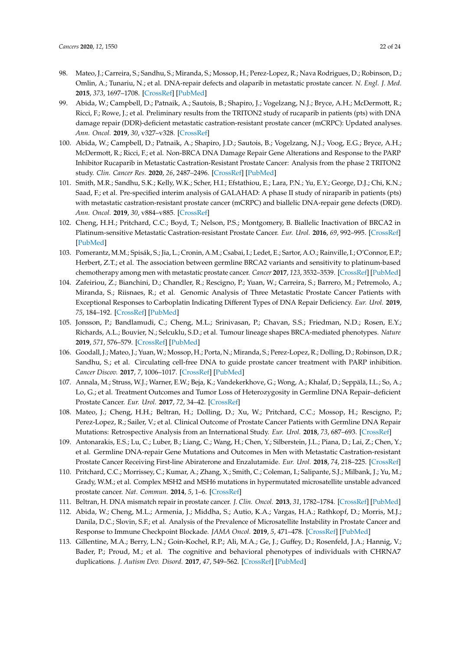- 98. Mateo, J.; Carreira, S.; Sandhu, S.; Miranda, S.; Mossop, H.; Perez-Lopez, R.; Nava Rodrigues, D.; Robinson, D.; Omlin, A.; Tunariu, N.; et al. DNA-repair defects and olaparib in metastatic prostate cancer. *N. Engl. J. Med.* **2015**, *373*, 1697–1708. [\[CrossRef\]](http://dx.doi.org/10.1056/NEJMoa1506859) [\[PubMed\]](http://www.ncbi.nlm.nih.gov/pubmed/26510020)
- <span id="page-21-3"></span>99. Abida, W.; Campbell, D.; Patnaik, A.; Sautois, B.; Shapiro, J.; Vogelzang, N.J.; Bryce, A.H.; McDermott, R.; Ricci, F.; Rowe, J.; et al. Preliminary results from the TRITON2 study of rucaparib in patients (pts) with DNA damage repair (DDR)-deficient metastatic castration-resistant prostate cancer (mCRPC): Updated analyses. *Ann. Oncol.* **2019**, *30*, v327–v328. [\[CrossRef\]](http://dx.doi.org/10.1093/annonc/mdz248.003)
- <span id="page-21-5"></span>100. Abida, W.; Campbell, D.; Patnaik, A.; Shapiro, J.D.; Sautois, B.; Vogelzang, N.J.; Voog, E.G.; Bryce, A.H.; McDermott, R.; Ricci, F.; et al. Non-BRCA DNA Damage Repair Gene Alterations and Response to the PARP Inhibitor Rucaparib in Metastatic Castration-Resistant Prostate Cancer: Analysis from the phase 2 TRITON2 study. *Clin. Cancer Res.* **2020**, *26*, 2487–2496. [\[CrossRef\]](http://dx.doi.org/10.1158/1078-0432.CCR-20-0394) [\[PubMed\]](http://www.ncbi.nlm.nih.gov/pubmed/32086346)
- <span id="page-21-0"></span>101. Smith, M.R.; Sandhu, S.K.; Kelly, W.K.; Scher, H.I.; Efstathiou, E.; Lara, P.N.; Yu, E.Y.; George, D.J.; Chi, K.N.; Saad, F.; et al. Pre-specified interim analysis of GALAHAD: A phase II study of niraparib in patients (pts) with metastatic castration-resistant prostate cancer (mCRPC) and biallelic DNA-repair gene defects (DRD). *Ann. Oncol.* **2019**, *30*, v884–v885. [\[CrossRef\]](http://dx.doi.org/10.1093/annonc/mdz394.043)
- <span id="page-21-1"></span>102. Cheng, H.H.; Pritchard, C.C.; Boyd, T.; Nelson, P.S.; Montgomery, B. Biallelic Inactivation of BRCA2 in Platinum-sensitive Metastatic Castration-resistant Prostate Cancer. *Eur. Urol.* **2016**, *69*, 992–995. [\[CrossRef\]](http://dx.doi.org/10.1016/j.eururo.2015.11.022) [\[PubMed\]](http://www.ncbi.nlm.nih.gov/pubmed/26724258)
- 103. Pomerantz, M.M.; Spisák, S.; Jia, L.; Cronin, A.M.; Csabai, I.; Ledet, E.; Sartor, A.O.; Rainville, I.; O'Connor, E.P.; Herbert, Z.T.; et al. The association between germline BRCA2 variants and sensitivity to platinum-based chemotherapy among men with metastatic prostate cancer. *Cancer* **2017**, *123*, 3532–3539. [\[CrossRef\]](http://dx.doi.org/10.1002/cncr.30808) [\[PubMed\]](http://www.ncbi.nlm.nih.gov/pubmed/28608931)
- <span id="page-21-2"></span>104. Zafeiriou, Z.; Bianchini, D.; Chandler, R.; Rescigno, P.; Yuan, W.; Carreira, S.; Barrero, M.; Petremolo, A.; Miranda, S.; Riisnaes, R.; et al. Genomic Analysis of Three Metastatic Prostate Cancer Patients with Exceptional Responses to Carboplatin Indicating Different Types of DNA Repair Deficiency. *Eur. Urol.* **2019**, *75*, 184–192. [\[CrossRef\]](http://dx.doi.org/10.1016/j.eururo.2018.09.048) [\[PubMed\]](http://www.ncbi.nlm.nih.gov/pubmed/30340782)
- <span id="page-21-4"></span>105. Jonsson, P.; Bandlamudi, C.; Cheng, M.L.; Srinivasan, P.; Chavan, S.S.; Friedman, N.D.; Rosen, E.Y.; Richards, A.L.; Bouvier, N.; Selcuklu, S.D.; et al. Tumour lineage shapes BRCA-mediated phenotypes. *Nature* **2019**, *571*, 576–579. [\[CrossRef\]](http://dx.doi.org/10.1038/s41586-019-1382-1) [\[PubMed\]](http://www.ncbi.nlm.nih.gov/pubmed/31292550)
- <span id="page-21-6"></span>106. Goodall, J.; Mateo, J.; Yuan,W.; Mossop, H.; Porta, N.; Miranda, S.; Perez-Lopez, R.; Dolling, D.; Robinson, D.R.; Sandhu, S.; et al. Circulating cell-free DNA to guide prostate cancer treatment with PARP inhibition. *Cancer Discov.* **2017**, *7*, 1006–1017. [\[CrossRef\]](http://dx.doi.org/10.1158/2159-8290.CD-17-0261) [\[PubMed\]](http://www.ncbi.nlm.nih.gov/pubmed/28450425)
- <span id="page-21-7"></span>107. Annala, M.; Struss, W.J.; Warner, E.W.; Beja, K.; Vandekerkhove, G.; Wong, A.; Khalaf, D.; Seppälä, I.L.; So, A.; Lo, G.; et al. Treatment Outcomes and Tumor Loss of Heterozygosity in Germline DNA Repair–deficient Prostate Cancer. *Eur. Urol.* **2017**, *72*, 34–42. [\[CrossRef\]](http://dx.doi.org/10.1016/j.eururo.2017.02.023)
- 108. Mateo, J.; Cheng, H.H.; Beltran, H.; Dolling, D.; Xu, W.; Pritchard, C.C.; Mossop, H.; Rescigno, P.; Perez-Lopez, R.; Sailer, V.; et al. Clinical Outcome of Prostate Cancer Patients with Germline DNA Repair Mutations: Retrospective Analysis from an International Study. *Eur. Urol.* **2018**, *73*, 687–693. [\[CrossRef\]](http://dx.doi.org/10.1016/j.eururo.2018.01.010)
- <span id="page-21-8"></span>109. Antonarakis, E.S.; Lu, C.; Luber, B.; Liang, C.; Wang, H.; Chen, Y.; Silberstein, J.L.; Piana, D.; Lai, Z.; Chen, Y.; et al. Germline DNA-repair Gene Mutations and Outcomes in Men with Metastatic Castration-resistant Prostate Cancer Receiving First-line Abiraterone and Enzalutamide. *Eur. Urol.* **2018**, *74*, 218–225. [\[CrossRef\]](http://dx.doi.org/10.1016/j.eururo.2018.01.035)
- 110. Pritchard, C.C.; Morrissey, C.; Kumar, A.; Zhang, X.; Smith, C.; Coleman, I.; Salipante, S.J.; Milbank, J.; Yu, M.; Grady, W.M.; et al. Complex MSH2 and MSH6 mutations in hypermutated microsatellite unstable advanced prostate cancer. *Nat. Commun.* **2014**, *5*, 1–6. [\[CrossRef\]](http://dx.doi.org/10.1038/ncomms5988)
- 111. Beltran, H. DNA mismatch repair in prostate cancer. *J. Clin. Oncol.* **2013**, *31*, 1782–1784. [\[CrossRef\]](http://dx.doi.org/10.1200/JCO.2012.48.4667) [\[PubMed\]](http://www.ncbi.nlm.nih.gov/pubmed/23530097)
- <span id="page-21-9"></span>112. Abida, W.; Cheng, M.L.; Armenia, J.; Middha, S.; Autio, K.A.; Vargas, H.A.; Rathkopf, D.; Morris, M.J.; Danila, D.C.; Slovin, S.F.; et al. Analysis of the Prevalence of Microsatellite Instability in Prostate Cancer and Response to Immune Checkpoint Blockade. *JAMA Oncol.* **2019**, *5*, 471–478. [\[CrossRef\]](http://dx.doi.org/10.1001/jamaoncol.2018.5801) [\[PubMed\]](http://www.ncbi.nlm.nih.gov/pubmed/30589920)
- <span id="page-21-10"></span>113. Gillentine, M.A.; Berry, L.N.; Goin-Kochel, R.P.; Ali, M.A.; Ge, J.; Guffey, D.; Rosenfeld, J.A.; Hannig, V.; Bader, P.; Proud, M.; et al. The cognitive and behavioral phenotypes of individuals with CHRNA7 duplications. *J. Autism Dev. Disord.* **2017**, *47*, 549–562. [\[CrossRef\]](http://dx.doi.org/10.1007/s10803-016-2961-8) [\[PubMed\]](http://www.ncbi.nlm.nih.gov/pubmed/27853923)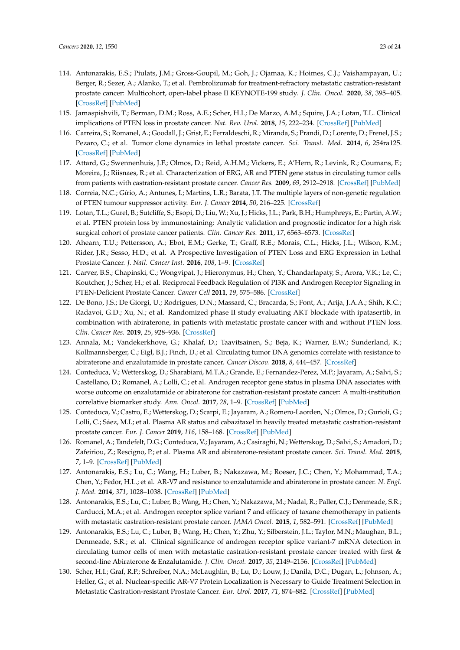- <span id="page-22-0"></span>114. Antonarakis, E.S.; Piulats, J.M.; Gross-Goupil, M.; Goh, J.; Ojamaa, K.; Hoimes, C.J.; Vaishampayan, U.; Berger, R.; Sezer, A.; Alanko, T.; et al. Pembrolizumab for treatment-refractory metastatic castration-resistant prostate cancer: Multicohort, open-label phase II KEYNOTE-199 study. *J. Clin. Oncol.* **2020**, *38*, 395–405. [\[CrossRef\]](http://dx.doi.org/10.1200/JCO.19.01638) [\[PubMed\]](http://www.ncbi.nlm.nih.gov/pubmed/31774688)
- <span id="page-22-1"></span>115. Jamaspishvili, T.; Berman, D.M.; Ross, A.E.; Scher, H.I.; De Marzo, A.M.; Squire, J.A.; Lotan, T.L. Clinical implications of PTEN loss in prostate cancer. *Nat. Rev. Urol.* **2018**, *15*, 222–234. [\[CrossRef\]](http://dx.doi.org/10.1038/nrurol.2018.9) [\[PubMed\]](http://www.ncbi.nlm.nih.gov/pubmed/29460925)
- <span id="page-22-2"></span>116. Carreira, S.; Romanel, A.; Goodall, J.; Grist, E.; Ferraldeschi, R.; Miranda, S.; Prandi, D.; Lorente, D.; Frenel, J.S.; Pezaro, C.; et al. Tumor clone dynamics in lethal prostate cancer. *Sci. Transl. Med.* **2014**, *6*, 254ra125. [\[CrossRef\]](http://dx.doi.org/10.1126/scitranslmed.3009448) [\[PubMed\]](http://www.ncbi.nlm.nih.gov/pubmed/25232177)
- <span id="page-22-3"></span>117. Attard, G.; Swennenhuis, J.F.; Olmos, D.; Reid, A.H.M.; Vickers, E.; A'Hern, R.; Levink, R.; Coumans, F.; Moreira, J.; Riisnaes, R.; et al. Characterization of ERG, AR and PTEN gene status in circulating tumor cells from patients with castration-resistant prostate cancer. *Cancer Res.* **2009**, *69*, 2912–2918. [\[CrossRef\]](http://dx.doi.org/10.1158/0008-5472.CAN-08-3667) [\[PubMed\]](http://www.ncbi.nlm.nih.gov/pubmed/19339269)
- <span id="page-22-4"></span>118. Correia, N.C.; Gírio, A.; Antunes, I.; Martins, L.R.; Barata, J.T. The multiple layers of non-genetic regulation of PTEN tumour suppressor activity. *Eur. J. Cancer* **2014**, *50*, 216–225. [\[CrossRef\]](http://dx.doi.org/10.1016/j.ejca.2013.08.017)
- <span id="page-22-5"></span>119. Lotan, T.L.; Gurel, B.; Sutcliffe, S.; Esopi, D.; Liu, W.; Xu, J.; Hicks, J.L.; Park, B.H.; Humphreys, E.; Partin, A.W.; et al. PTEN protein loss by immunostaining: Analytic validation and prognostic indicator for a high risk surgical cohort of prostate cancer patients. *Clin. Cancer Res.* **2011**, *17*, 6563–6573. [\[CrossRef\]](http://dx.doi.org/10.1158/1078-0432.CCR-11-1244)
- <span id="page-22-6"></span>120. Ahearn, T.U.; Pettersson, A.; Ebot, E.M.; Gerke, T.; Graff, R.E.; Morais, C.L.; Hicks, J.L.; Wilson, K.M.; Rider, J.R.; Sesso, H.D.; et al. A Prospective Investigation of PTEN Loss and ERG Expression in Lethal Prostate Cancer. *J. Natl. Cancer Inst.* **2016**, *108*, 1–9. [\[CrossRef\]](http://dx.doi.org/10.1093/jnci/djv346)
- <span id="page-22-7"></span>121. Carver, B.S.; Chapinski, C.; Wongvipat, J.; Hieronymus, H.; Chen, Y.; Chandarlapaty, S.; Arora, V.K.; Le, C.; Koutcher, J.; Scher, H.; et al. Reciprocal Feedback Regulation of PI3K and Androgen Receptor Signaling in PTEN-Deficient Prostate Cancer. *Cancer Cell* **2011**, *19*, 575–586. [\[CrossRef\]](http://dx.doi.org/10.1016/j.ccr.2011.04.008)
- <span id="page-22-8"></span>122. De Bono, J.S.; De Giorgi, U.; Rodrigues, D.N.; Massard, C.; Bracarda, S.; Font, A.; Arija, J.A.A.; Shih, K.C.; Radavoi, G.D.; Xu, N.; et al. Randomized phase II study evaluating AKT blockade with ipatasertib, in combination with abiraterone, in patients with metastatic prostate cancer with and without PTEN loss. *Clin. Cancer Res.* **2019**, *25*, 928–936. [\[CrossRef\]](http://dx.doi.org/10.1158/1078-0432.CCR-18-0981)
- <span id="page-22-9"></span>123. Annala, M.; Vandekerkhove, G.; Khalaf, D.; Taavitsainen, S.; Beja, K.; Warner, E.W.; Sunderland, K.; Kollmannsberger, C.; Eigl, B.J.; Finch, D.; et al. Circulating tumor DNA genomics correlate with resistance to abiraterone and enzalutamide in prostate cancer. *Cancer Discov.* **2018**, *8*, 444–457. [\[CrossRef\]](http://dx.doi.org/10.1158/2159-8290.CD-17-0937)
- <span id="page-22-11"></span>124. Conteduca, V.; Wetterskog, D.; Sharabiani, M.T.A.; Grande, E.; Fernandez-Perez, M.P.; Jayaram, A.; Salvi, S.; Castellano, D.; Romanel, A.; Lolli, C.; et al. Androgen receptor gene status in plasma DNA associates with worse outcome on enzalutamide or abiraterone for castration-resistant prostate cancer: A multi-institution correlative biomarker study. *Ann. Oncol.* **2017**, *28*, 1–9. [\[CrossRef\]](http://dx.doi.org/10.1093/annonc/mdx155) [\[PubMed\]](http://www.ncbi.nlm.nih.gov/pubmed/28472366)
- <span id="page-22-10"></span>125. Conteduca, V.; Castro, E.; Wetterskog, D.; Scarpi, E.; Jayaram, A.; Romero-Laorden, N.; Olmos, D.; Gurioli, G.; Lolli, C.; Sáez, M.I.; et al. Plasma AR status and cabazitaxel in heavily treated metastatic castration-resistant prostate cancer. *Eur. J. Cancer* **2019**, *116*, 158–168. [\[CrossRef\]](http://dx.doi.org/10.1016/j.ejca.2019.05.007) [\[PubMed\]](http://www.ncbi.nlm.nih.gov/pubmed/31200322)
- <span id="page-22-12"></span>126. Romanel, A.; Tandefelt, D.G.; Conteduca, V.; Jayaram, A.; Casiraghi, N.; Wetterskog, D.; Salvi, S.; Amadori, D.; Zafeiriou, Z.; Rescigno, P.; et al. Plasma AR and abiraterone-resistant prostate cancer. *Sci. Transl. Med.* **2015**, *7*, 1–9. [\[CrossRef\]](http://dx.doi.org/10.1126/scitranslmed.aac9511) [\[PubMed\]](http://www.ncbi.nlm.nih.gov/pubmed/26537258)
- <span id="page-22-13"></span>127. Antonarakis, E.S.; Lu, C.; Wang, H.; Luber, B.; Nakazawa, M.; Roeser, J.C.; Chen, Y.; Mohammad, T.A.; Chen, Y.; Fedor, H.L.; et al. AR-V7 and resistance to enzalutamide and abiraterone in prostate cancer. *N. Engl. J. Med.* **2014**, *371*, 1028–1038. [\[CrossRef\]](http://dx.doi.org/10.1056/NEJMoa1315815) [\[PubMed\]](http://www.ncbi.nlm.nih.gov/pubmed/25184630)
- 128. Antonarakis, E.S.; Lu, C.; Luber, B.; Wang, H.; Chen, Y.; Nakazawa, M.; Nadal, R.; Paller, C.J.; Denmeade, S.R.; Carducci, M.A.; et al. Androgen receptor splice variant 7 and efficacy of taxane chemotherapy in patients with metastatic castration-resistant prostate cancer. *JAMA Oncol.* **2015**, *1*, 582–591. [\[CrossRef\]](http://dx.doi.org/10.1001/jamaoncol.2015.1341) [\[PubMed\]](http://www.ncbi.nlm.nih.gov/pubmed/26181238)
- 129. Antonarakis, E.S.; Lu, C.; Luber, B.; Wang, H.; Chen, Y.; Zhu, Y.; Silberstein, J.L.; Taylor, M.N.; Maughan, B.L.; Denmeade, S.R.; et al. Clinical significance of androgen receptor splice variant-7 mRNA detection in circulating tumor cells of men with metastatic castration-resistant prostate cancer treated with first & second-line Abiraterone & Enzalutamide. *J. Clin. Oncol.* **2017**, *35*, 2149–2156. [\[CrossRef\]](http://dx.doi.org/10.1200/JCO.2016.70.1961) [\[PubMed\]](http://www.ncbi.nlm.nih.gov/pubmed/28384066)
- <span id="page-22-14"></span>130. Scher, H.I.; Graf, R.P.; Schreiber, N.A.; McLaughlin, B.; Lu, D.; Louw, J.; Danila, D.C.; Dugan, L.; Johnson, A.; Heller, G.; et al. Nuclear-specific AR-V7 Protein Localization is Necessary to Guide Treatment Selection in Metastatic Castration-resistant Prostate Cancer. *Eur. Urol.* **2017**, *71*, 874–882. [\[CrossRef\]](http://dx.doi.org/10.1016/j.eururo.2016.11.024) [\[PubMed\]](http://www.ncbi.nlm.nih.gov/pubmed/27979426)